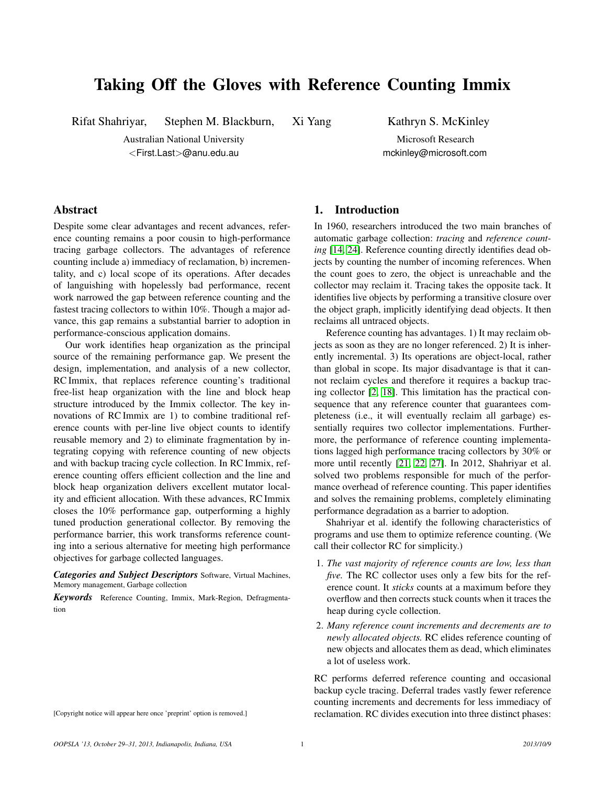# Taking Off the Gloves with Reference Counting Immix

Rifat Shahriyar, Stephen M. Blackburn, Xi Yang

Kathryn S. McKinley

Australian National University <First.Last>@anu.edu.au

Microsoft Research mckinley@microsoft.com

## Abstract

Despite some clear advantages and recent advances, reference counting remains a poor cousin to high-performance tracing garbage collectors. The advantages of reference counting include a) immediacy of reclamation, b) incrementality, and c) local scope of its operations. After decades of languishing with hopelessly bad performance, recent work narrowed the gap between reference counting and the fastest tracing collectors to within 10%. Though a major advance, this gap remains a substantial barrier to adoption in performance-conscious application domains.

Our work identifies heap organization as the principal source of the remaining performance gap. We present the design, implementation, and analysis of a new collector, RC Immix, that replaces reference counting's traditional free-list heap organization with the line and block heap structure introduced by the Immix collector. The key innovations of RC Immix are 1) to combine traditional reference counts with per-line live object counts to identify reusable memory and 2) to eliminate fragmentation by integrating copying with reference counting of new objects and with backup tracing cycle collection. In RC Immix, reference counting offers efficient collection and the line and block heap organization delivers excellent mutator locality and efficient allocation. With these advances, RC Immix closes the 10% performance gap, outperforming a highly tuned production generational collector. By removing the performance barrier, this work transforms reference counting into a serious alternative for meeting high performance objectives for garbage collected languages.

*Categories and Subject Descriptors* Software, Virtual Machines, Memory management, Garbage collection

*Keywords* Reference Counting, Immix, Mark-Region, Defragmentation

## 1. Introduction

In 1960, researchers introduced the two main branches of automatic garbage collection: *tracing* and *reference counting* [\[14,](#page-16-0) [24\]](#page-17-0). Reference counting directly identifies dead objects by counting the number of incoming references. When the count goes to zero, the object is unreachable and the collector may reclaim it. Tracing takes the opposite tack. It identifies live objects by performing a transitive closure over the object graph, implicitly identifying dead objects. It then reclaims all untraced objects.

Reference counting has advantages. 1) It may reclaim objects as soon as they are no longer referenced. 2) It is inherently incremental. 3) Its operations are object-local, rather than global in scope. Its major disadvantage is that it cannot reclaim cycles and therefore it requires a backup tracing collector [\[2,](#page-16-1) [18\]](#page-16-2). This limitation has the practical consequence that any reference counter that guarantees completeness (i.e., it will eventually reclaim all garbage) essentially requires two collector implementations. Furthermore, the performance of reference counting implementations lagged high performance tracing collectors by 30% or more until recently [\[21,](#page-16-3) [22,](#page-17-1) [27\]](#page-17-2). In 2012, Shahriyar et al. solved two problems responsible for much of the performance overhead of reference counting. This paper identifies and solves the remaining problems, completely eliminating performance degradation as a barrier to adoption.

Shahriyar et al. identify the following characteristics of programs and use them to optimize reference counting. (We call their collector RC for simplicity.)

- 1. *The vast majority of reference counts are low, less than five.* The RC collector uses only a few bits for the reference count. It *sticks* counts at a maximum before they overflow and then corrects stuck counts when it traces the heap during cycle collection.
- 2. *Many reference count increments and decrements are to newly allocated objects.* RC elides reference counting of new objects and allocates them as dead, which eliminates a lot of useless work.

RC performs deferred reference counting and occasional backup cycle tracing. Deferral trades vastly fewer reference counting increments and decrements for less immediacy of reclamation. RC divides execution into three distinct phases: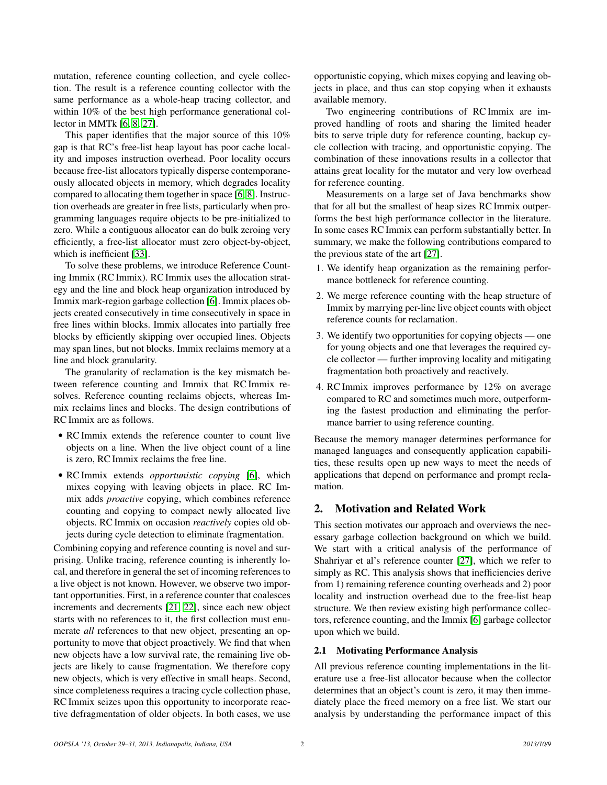mutation, reference counting collection, and cycle collection. The result is a reference counting collector with the same performance as a whole-heap tracing collector, and within 10% of the best high performance generational collector in MMTk [\[6,](#page-16-4) [8,](#page-16-5) [27\]](#page-17-2).

This paper identifies that the major source of this 10% gap is that RC's free-list heap layout has poor cache locality and imposes instruction overhead. Poor locality occurs because free-list allocators typically disperse contemporaneously allocated objects in memory, which degrades locality compared to allocating them together in space [\[6,](#page-16-4) [8\]](#page-16-5). Instruction overheads are greater in free lists, particularly when programming languages require objects to be pre-initialized to zero. While a contiguous allocator can do bulk zeroing very efficiently, a free-list allocator must zero object-by-object, which is inefficient [\[33\]](#page-17-3).

To solve these problems, we introduce Reference Counting Immix (RC Immix). RC Immix uses the allocation strategy and the line and block heap organization introduced by Immix mark-region garbage collection [\[6\]](#page-16-4). Immix places objects created consecutively in time consecutively in space in free lines within blocks. Immix allocates into partially free blocks by efficiently skipping over occupied lines. Objects may span lines, but not blocks. Immix reclaims memory at a line and block granularity.

The granularity of reclamation is the key mismatch between reference counting and Immix that RC Immix resolves. Reference counting reclaims objects, whereas Immix reclaims lines and blocks. The design contributions of RC Immix are as follows.

- RC Immix extends the reference counter to count live objects on a line. When the live object count of a line is zero, RC Immix reclaims the free line.
- RC Immix extends *opportunistic copying* [\[6\]](#page-16-4), which mixes copying with leaving objects in place. RC Immix adds *proactive* copying, which combines reference counting and copying to compact newly allocated live objects. RC Immix on occasion *reactively* copies old objects during cycle detection to eliminate fragmentation.

Combining copying and reference counting is novel and surprising. Unlike tracing, reference counting is inherently local, and therefore in general the set of incoming references to a live object is not known. However, we observe two important opportunities. First, in a reference counter that coalesces increments and decrements [\[21,](#page-16-3) [22\]](#page-17-1), since each new object starts with no references to it, the first collection must enumerate *all* references to that new object, presenting an opportunity to move that object proactively. We find that when new objects have a low survival rate, the remaining live objects are likely to cause fragmentation. We therefore copy new objects, which is very effective in small heaps. Second, since completeness requires a tracing cycle collection phase, RC Immix seizes upon this opportunity to incorporate reactive defragmentation of older objects. In both cases, we use

opportunistic copying, which mixes copying and leaving objects in place, and thus can stop copying when it exhausts available memory.

Two engineering contributions of RC Immix are improved handling of roots and sharing the limited header bits to serve triple duty for reference counting, backup cycle collection with tracing, and opportunistic copying. The combination of these innovations results in a collector that attains great locality for the mutator and very low overhead for reference counting.

Measurements on a large set of Java benchmarks show that for all but the smallest of heap sizes RC Immix outperforms the best high performance collector in the literature. In some cases RC Immix can perform substantially better. In summary, we make the following contributions compared to the previous state of the art [\[27\]](#page-17-2).

- 1. We identify heap organization as the remaining performance bottleneck for reference counting.
- 2. We merge reference counting with the heap structure of Immix by marrying per-line live object counts with object reference counts for reclamation.
- 3. We identify two opportunities for copying objects one for young objects and one that leverages the required cycle collector — further improving locality and mitigating fragmentation both proactively and reactively.
- 4. RC Immix improves performance by 12% on average compared to RC and sometimes much more, outperforming the fastest production and eliminating the performance barrier to using reference counting.

Because the memory manager determines performance for managed languages and consequently application capabilities, these results open up new ways to meet the needs of applications that depend on performance and prompt reclamation.

# 2. Motivation and Related Work

This section motivates our approach and overviews the necessary garbage collection background on which we build. We start with a critical analysis of the performance of Shahriyar et al's reference counter [\[27\]](#page-17-2), which we refer to simply as RC. This analysis shows that inefficiencies derive from 1) remaining reference counting overheads and 2) poor locality and instruction overhead due to the free-list heap structure. We then review existing high performance collectors, reference counting, and the Immix [\[6\]](#page-16-4) garbage collector upon which we build.

### <span id="page-1-0"></span>2.1 Motivating Performance Analysis

All previous reference counting implementations in the literature use a free-list allocator because when the collector determines that an object's count is zero, it may then immediately place the freed memory on a free list. We start our analysis by understanding the performance impact of this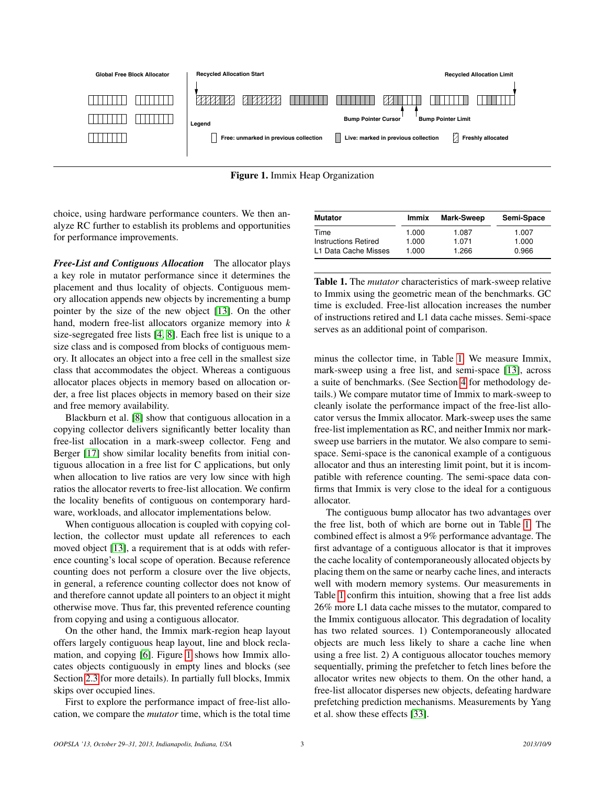<span id="page-2-0"></span>



choice, using hardware performance counters. We then analyze RC further to establish its problems and opportunities for performance improvements.

*Free-List and Contiguous Allocation* The allocator plays a key role in mutator performance since it determines the placement and thus locality of objects. Contiguous memory allocation appends new objects by incrementing a bump pointer by the size of the new object [\[13\]](#page-16-6). On the other hand, modern free-list allocators organize memory into *k* size-segregated free lists [\[4,](#page-16-7) [8\]](#page-16-5). Each free list is unique to a size class and is composed from blocks of contiguous memory. It allocates an object into a free cell in the smallest size class that accommodates the object. Whereas a contiguous allocator places objects in memory based on allocation order, a free list places objects in memory based on their size and free memory availability.

Blackburn et al. [\[8\]](#page-16-5) show that contiguous allocation in a copying collector delivers significantly better locality than free-list allocation in a mark-sweep collector. Feng and Berger [\[17\]](#page-16-8) show similar locality benefits from initial contiguous allocation in a free list for C applications, but only when allocation to live ratios are very low since with high ratios the allocator reverts to free-list allocation. We confirm the locality benefits of contiguous on contemporary hardware, workloads, and allocator implementations below.

When contiguous allocation is coupled with copying collection, the collector must update all references to each moved object [\[13\]](#page-16-6), a requirement that is at odds with reference counting's local scope of operation. Because reference counting does not perform a closure over the live objects, in general, a reference counting collector does not know of and therefore cannot update all pointers to an object it might otherwise move. Thus far, this prevented reference counting from copying and using a contiguous allocator.

On the other hand, the Immix mark-region heap layout offers largely contiguous heap layout, line and block reclamation, and copying [\[6\]](#page-16-4). Figure [1](#page-2-0) shows how Immix allocates objects contiguously in empty lines and blocks (see Section [2.3](#page-5-0) for more details). In partially full blocks, Immix skips over occupied lines.

First to explore the performance impact of free-list allocation, we compare the *mutator* time, which is the total time

<span id="page-2-1"></span>

| <b>Mutator</b>       | <b>Immix</b> | <b>Mark-Sweep</b> | Semi-Space |  |
|----------------------|--------------|-------------------|------------|--|
| Time                 | 1.000        | 1.087             | 1.007      |  |
| Instructions Retired | 1.000        | 1.071             | 1.000      |  |
| L1 Data Cache Misses | 1.000        | 1.266             | 0.966      |  |

Table 1. The *mutator* characteristics of mark-sweep relative to Immix using the geometric mean of the benchmarks. GC time is excluded. Free-list allocation increases the number of instructions retired and L1 data cache misses. Semi-space serves as an additional point of comparison.

minus the collector time, in Table [1.](#page-2-1) We measure Immix, mark-sweep using a free list, and semi-space [\[13\]](#page-16-6), across a suite of benchmarks. (See Section [4](#page-9-0) for methodology details.) We compare mutator time of Immix to mark-sweep to cleanly isolate the performance impact of the free-list allocator versus the Immix allocator. Mark-sweep uses the same free-list implementation as RC, and neither Immix nor marksweep use barriers in the mutator. We also compare to semispace. Semi-space is the canonical example of a contiguous allocator and thus an interesting limit point, but it is incompatible with reference counting. The semi-space data confirms that Immix is very close to the ideal for a contiguous allocator.

The contiguous bump allocator has two advantages over the free list, both of which are borne out in Table [1.](#page-2-1) The combined effect is almost a 9% performance advantage. The first advantage of a contiguous allocator is that it improves the cache locality of contemporaneously allocated objects by placing them on the same or nearby cache lines, and interacts well with modern memory systems. Our measurements in Table [1](#page-2-1) confirm this intuition, showing that a free list adds 26% more L1 data cache misses to the mutator, compared to the Immix contiguous allocator. This degradation of locality has two related sources. 1) Contemporaneously allocated objects are much less likely to share a cache line when using a free list. 2) A contiguous allocator touches memory sequentially, priming the prefetcher to fetch lines before the allocator writes new objects to them. On the other hand, a free-list allocator disperses new objects, defeating hardware prefetching prediction mechanisms. Measurements by Yang et al. show these effects [\[33\]](#page-17-3).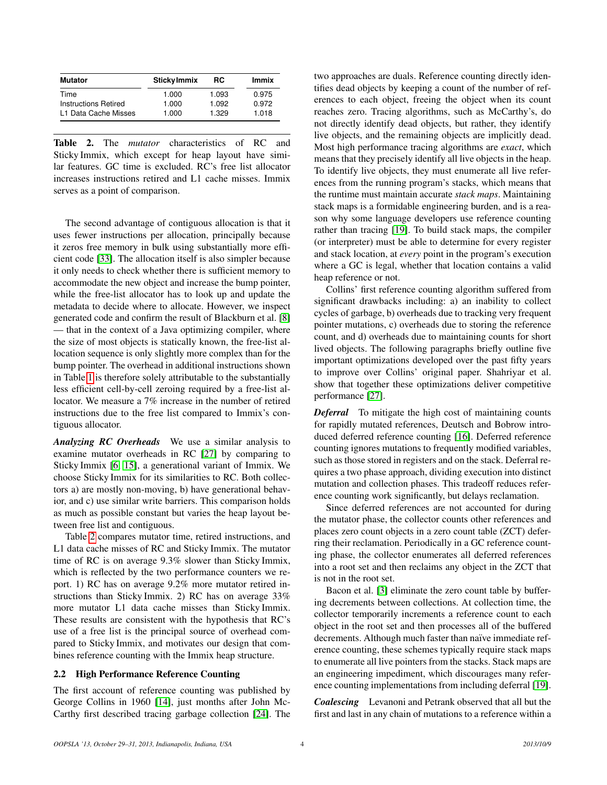<span id="page-3-0"></span>

| <b>Mutator</b>              | Sticky Immix | RC    | <b>Immix</b> |
|-----------------------------|--------------|-------|--------------|
| Time                        | 1.000        | 1.093 | 0.975        |
| <b>Instructions Retired</b> | 1.000        | 1.092 | 0.972        |
| L1 Data Cache Misses        | 1.000        | 1.329 | 1.018        |

Table 2. The *mutator* characteristics of RC and Sticky Immix, which except for heap layout have similar features. GC time is excluded. RC's free list allocator increases instructions retired and L1 cache misses. Immix serves as a point of comparison.

The second advantage of contiguous allocation is that it uses fewer instructions per allocation, principally because it zeros free memory in bulk using substantially more efficient code [\[33\]](#page-17-3). The allocation itself is also simpler because it only needs to check whether there is sufficient memory to accommodate the new object and increase the bump pointer, while the free-list allocator has to look up and update the metadata to decide where to allocate. However, we inspect generated code and confirm the result of Blackburn et al. [\[8\]](#page-16-5) — that in the context of a Java optimizing compiler, where the size of most objects is statically known, the free-list allocation sequence is only slightly more complex than for the bump pointer. The overhead in additional instructions shown in Table [1](#page-2-1) is therefore solely attributable to the substantially less efficient cell-by-cell zeroing required by a free-list allocator. We measure a 7% increase in the number of retired instructions due to the free list compared to Immix's contiguous allocator.

*Analyzing RC Overheads* We use a similar analysis to examine mutator overheads in RC [\[27\]](#page-17-2) by comparing to Sticky Immix [\[6,](#page-16-4) [15\]](#page-16-9), a generational variant of Immix. We choose Sticky Immix for its similarities to RC. Both collectors a) are mostly non-moving, b) have generational behavior, and c) use similar write barriers. This comparison holds as much as possible constant but varies the heap layout between free list and contiguous.

Table [2](#page-3-0) compares mutator time, retired instructions, and L1 data cache misses of RC and Sticky Immix. The mutator time of RC is on average 9.3% slower than Sticky Immix, which is reflected by the two performance counters we report. 1) RC has on average 9.2% more mutator retired instructions than Sticky Immix. 2) RC has on average 33% more mutator L1 data cache misses than Sticky Immix. These results are consistent with the hypothesis that RC's use of a free list is the principal source of overhead compared to Sticky Immix, and motivates our design that combines reference counting with the Immix heap structure.

#### <span id="page-3-1"></span>2.2 High Performance Reference Counting

The first account of reference counting was published by George Collins in 1960 [\[14\]](#page-16-0), just months after John Mc-Carthy first described tracing garbage collection [\[24\]](#page-17-0). The two approaches are duals. Reference counting directly identifies dead objects by keeping a count of the number of references to each object, freeing the object when its count reaches zero. Tracing algorithms, such as McCarthy's, do not directly identify dead objects, but rather, they identify live objects, and the remaining objects are implicitly dead. Most high performance tracing algorithms are *exact*, which means that they precisely identify all live objects in the heap. To identify live objects, they must enumerate all live references from the running program's stacks, which means that the runtime must maintain accurate *stack maps*. Maintaining stack maps is a formidable engineering burden, and is a reason why some language developers use reference counting rather than tracing [\[19\]](#page-16-10). To build stack maps, the compiler (or interpreter) must be able to determine for every register and stack location, at *every* point in the program's execution where a GC is legal, whether that location contains a valid heap reference or not.

Collins' first reference counting algorithm suffered from significant drawbacks including: a) an inability to collect cycles of garbage, b) overheads due to tracking very frequent pointer mutations, c) overheads due to storing the reference count, and d) overheads due to maintaining counts for short lived objects. The following paragraphs briefly outline five important optimizations developed over the past fifty years to improve over Collins' original paper. Shahriyar et al. show that together these optimizations deliver competitive performance [\[27\]](#page-17-2).

*Deferral* To mitigate the high cost of maintaining counts for rapidly mutated references, Deutsch and Bobrow introduced deferred reference counting [\[16\]](#page-16-11). Deferred reference counting ignores mutations to frequently modified variables, such as those stored in registers and on the stack. Deferral requires a two phase approach, dividing execution into distinct mutation and collection phases. This tradeoff reduces reference counting work significantly, but delays reclamation.

Since deferred references are not accounted for during the mutator phase, the collector counts other references and places zero count objects in a zero count table (ZCT) deferring their reclamation. Periodically in a GC reference counting phase, the collector enumerates all deferred references into a root set and then reclaims any object in the ZCT that is not in the root set.

Bacon et al. [\[3\]](#page-16-12) eliminate the zero count table by buffering decrements between collections. At collection time, the collector temporarily increments a reference count to each object in the root set and then processes all of the buffered decrements. Although much faster than naïve immediate reference counting, these schemes typically require stack maps to enumerate all live pointers from the stacks. Stack maps are an engineering impediment, which discourages many reference counting implementations from including deferral [\[19\]](#page-16-10).

*Coalescing* Levanoni and Petrank observed that all but the first and last in any chain of mutations to a reference within a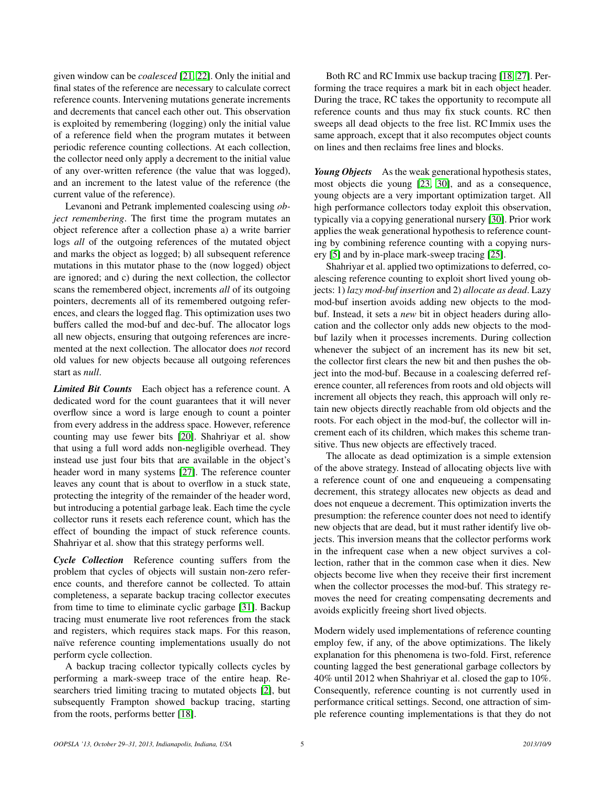given window can be *coalesced* [\[21,](#page-16-3) [22\]](#page-17-1). Only the initial and final states of the reference are necessary to calculate correct reference counts. Intervening mutations generate increments and decrements that cancel each other out. This observation is exploited by remembering (logging) only the initial value of a reference field when the program mutates it between periodic reference counting collections. At each collection, the collector need only apply a decrement to the initial value of any over-written reference (the value that was logged), and an increment to the latest value of the reference (the current value of the reference).

Levanoni and Petrank implemented coalescing using *object remembering*. The first time the program mutates an object reference after a collection phase a) a write barrier logs *all* of the outgoing references of the mutated object and marks the object as logged; b) all subsequent reference mutations in this mutator phase to the (now logged) object are ignored; and c) during the next collection, the collector scans the remembered object, increments *all* of its outgoing pointers, decrements all of its remembered outgoing references, and clears the logged flag. This optimization uses two buffers called the mod-buf and dec-buf. The allocator logs all new objects, ensuring that outgoing references are incremented at the next collection. The allocator does *not* record old values for new objects because all outgoing references start as *null*.

*Limited Bit Counts* Each object has a reference count. A dedicated word for the count guarantees that it will never overflow since a word is large enough to count a pointer from every address in the address space. However, reference counting may use fewer bits [\[20\]](#page-16-13). Shahriyar et al. show that using a full word adds non-negligible overhead. They instead use just four bits that are available in the object's header word in many systems [\[27\]](#page-17-2). The reference counter leaves any count that is about to overflow in a stuck state, protecting the integrity of the remainder of the header word, but introducing a potential garbage leak. Each time the cycle collector runs it resets each reference count, which has the effect of bounding the impact of stuck reference counts. Shahriyar et al. show that this strategy performs well.

*Cycle Collection* Reference counting suffers from the problem that cycles of objects will sustain non-zero reference counts, and therefore cannot be collected. To attain completeness, a separate backup tracing collector executes from time to time to eliminate cyclic garbage [\[31\]](#page-17-4). Backup tracing must enumerate live root references from the stack and registers, which requires stack maps. For this reason, naïve reference counting implementations usually do not perform cycle collection.

A backup tracing collector typically collects cycles by performing a mark-sweep trace of the entire heap. Researchers tried limiting tracing to mutated objects [\[2\]](#page-16-1), but subsequently Frampton showed backup tracing, starting from the roots, performs better [\[18\]](#page-16-2).

Both RC and RC Immix use backup tracing [\[18,](#page-16-2) [27\]](#page-17-2). Performing the trace requires a mark bit in each object header. During the trace, RC takes the opportunity to recompute all reference counts and thus may fix stuck counts. RC then sweeps all dead objects to the free list. RC Immix uses the same approach, except that it also recomputes object counts on lines and then reclaims free lines and blocks.

*Young Objects* As the weak generational hypothesis states, most objects die young [\[23,](#page-17-5) [30\]](#page-17-6), and as a consequence, young objects are a very important optimization target. All high performance collectors today exploit this observation, typically via a copying generational nursery [\[30\]](#page-17-6). Prior work applies the weak generational hypothesis to reference counting by combining reference counting with a copying nursery [\[5\]](#page-16-14) and by in-place mark-sweep tracing [\[25\]](#page-17-7).

Shahriyar et al. applied two optimizations to deferred, coalescing reference counting to exploit short lived young objects: 1) *lazy mod-buf insertion* and 2) *allocate as dead*. Lazy mod-buf insertion avoids adding new objects to the modbuf. Instead, it sets a *new* bit in object headers during allocation and the collector only adds new objects to the modbuf lazily when it processes increments. During collection whenever the subject of an increment has its new bit set, the collector first clears the new bit and then pushes the object into the mod-buf. Because in a coalescing deferred reference counter, all references from roots and old objects will increment all objects they reach, this approach will only retain new objects directly reachable from old objects and the roots. For each object in the mod-buf, the collector will increment each of its children, which makes this scheme transitive. Thus new objects are effectively traced.

The allocate as dead optimization is a simple extension of the above strategy. Instead of allocating objects live with a reference count of one and enqueueing a compensating decrement, this strategy allocates new objects as dead and does not enqueue a decrement. This optimization inverts the presumption: the reference counter does not need to identify new objects that are dead, but it must rather identify live objects. This inversion means that the collector performs work in the infrequent case when a new object survives a collection, rather that in the common case when it dies. New objects become live when they receive their first increment when the collector processes the mod-buf. This strategy removes the need for creating compensating decrements and avoids explicitly freeing short lived objects.

Modern widely used implementations of reference counting employ few, if any, of the above optimizations. The likely explanation for this phenomena is two-fold. First, reference counting lagged the best generational garbage collectors by 40% until 2012 when Shahriyar et al. closed the gap to 10%. Consequently, reference counting is not currently used in performance critical settings. Second, one attraction of simple reference counting implementations is that they do not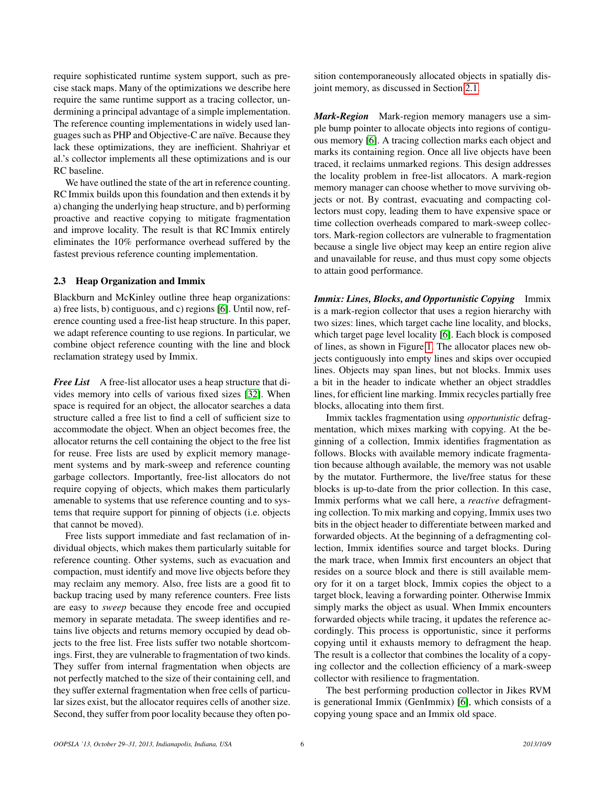require sophisticated runtime system support, such as precise stack maps. Many of the optimizations we describe here require the same runtime support as a tracing collector, undermining a principal advantage of a simple implementation. The reference counting implementations in widely used languages such as PHP and Objective-C are naïve. Because they lack these optimizations, they are inefficient. Shahriyar et al.'s collector implements all these optimizations and is our RC baseline.

We have outlined the state of the art in reference counting. RC Immix builds upon this foundation and then extends it by a) changing the underlying heap structure, and b) performing proactive and reactive copying to mitigate fragmentation and improve locality. The result is that RC Immix entirely eliminates the 10% performance overhead suffered by the fastest previous reference counting implementation.

### <span id="page-5-0"></span>2.3 Heap Organization and Immix

Blackburn and McKinley outline three heap organizations: a) free lists, b) contiguous, and c) regions [\[6\]](#page-16-4). Until now, reference counting used a free-list heap structure. In this paper, we adapt reference counting to use regions. In particular, we combine object reference counting with the line and block reclamation strategy used by Immix.

*Free List* A free-list allocator uses a heap structure that divides memory into cells of various fixed sizes [\[32\]](#page-17-8). When space is required for an object, the allocator searches a data structure called a free list to find a cell of sufficient size to accommodate the object. When an object becomes free, the allocator returns the cell containing the object to the free list for reuse. Free lists are used by explicit memory management systems and by mark-sweep and reference counting garbage collectors. Importantly, free-list allocators do not require copying of objects, which makes them particularly amenable to systems that use reference counting and to systems that require support for pinning of objects (i.e. objects that cannot be moved).

Free lists support immediate and fast reclamation of individual objects, which makes them particularly suitable for reference counting. Other systems, such as evacuation and compaction, must identify and move live objects before they may reclaim any memory. Also, free lists are a good fit to backup tracing used by many reference counters. Free lists are easy to *sweep* because they encode free and occupied memory in separate metadata. The sweep identifies and retains live objects and returns memory occupied by dead objects to the free list. Free lists suffer two notable shortcomings. First, they are vulnerable to fragmentation of two kinds. They suffer from internal fragmentation when objects are not perfectly matched to the size of their containing cell, and they suffer external fragmentation when free cells of particular sizes exist, but the allocator requires cells of another size. Second, they suffer from poor locality because they often po-

sition contemporaneously allocated objects in spatially disjoint memory, as discussed in Section [2.1.](#page-1-0)

*Mark-Region* Mark-region memory managers use a simple bump pointer to allocate objects into regions of contiguous memory [\[6\]](#page-16-4). A tracing collection marks each object and marks its containing region. Once all live objects have been traced, it reclaims unmarked regions. This design addresses the locality problem in free-list allocators. A mark-region memory manager can choose whether to move surviving objects or not. By contrast, evacuating and compacting collectors must copy, leading them to have expensive space or time collection overheads compared to mark-sweep collectors. Mark-region collectors are vulnerable to fragmentation because a single live object may keep an entire region alive and unavailable for reuse, and thus must copy some objects to attain good performance.

*Immix: Lines, Blocks, and Opportunistic Copying* Immix is a mark-region collector that uses a region hierarchy with two sizes: lines, which target cache line locality, and blocks, which target page level locality [\[6\]](#page-16-4). Each block is composed of lines, as shown in Figure [1.](#page-2-0) The allocator places new objects contiguously into empty lines and skips over occupied lines. Objects may span lines, but not blocks. Immix uses a bit in the header to indicate whether an object straddles lines, for efficient line marking. Immix recycles partially free blocks, allocating into them first.

Immix tackles fragmentation using *opportunistic* defragmentation, which mixes marking with copying. At the beginning of a collection, Immix identifies fragmentation as follows. Blocks with available memory indicate fragmentation because although available, the memory was not usable by the mutator. Furthermore, the live/free status for these blocks is up-to-date from the prior collection. In this case, Immix performs what we call here, a *reactive* defragmenting collection. To mix marking and copying, Immix uses two bits in the object header to differentiate between marked and forwarded objects. At the beginning of a defragmenting collection, Immix identifies source and target blocks. During the mark trace, when Immix first encounters an object that resides on a source block and there is still available memory for it on a target block, Immix copies the object to a target block, leaving a forwarding pointer. Otherwise Immix simply marks the object as usual. When Immix encounters forwarded objects while tracing, it updates the reference accordingly. This process is opportunistic, since it performs copying until it exhausts memory to defragment the heap. The result is a collector that combines the locality of a copying collector and the collection efficiency of a mark-sweep collector with resilience to fragmentation.

The best performing production collector in Jikes RVM is generational Immix (GenImmix) [\[6\]](#page-16-4), which consists of a copying young space and an Immix old space.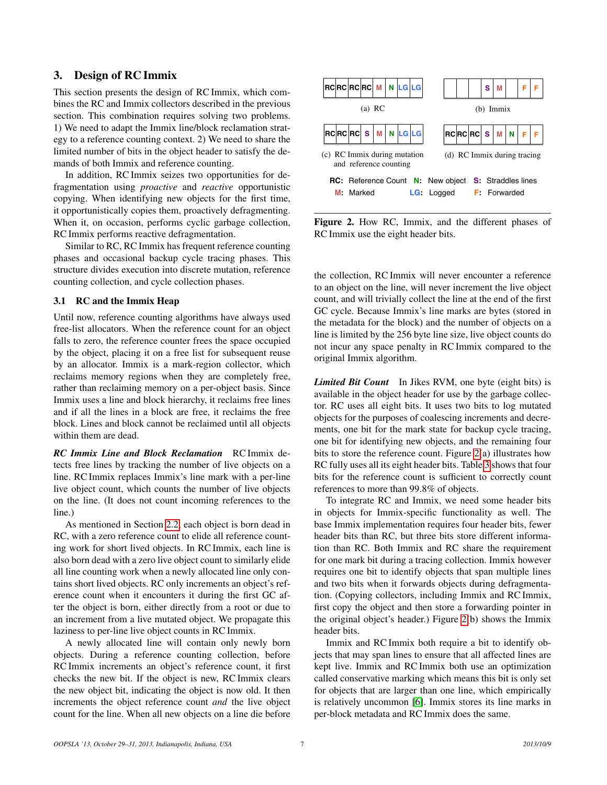# 3. Design of RC Immix

This section presents the design of RC Immix, which combines the RC and Immix collectors described in the previous section. This combination requires solving two problems. 1) We need to adapt the Immix line/block reclamation strategy to a reference counting context. 2) We need to share the limited number of bits in the object header to satisfy the demands of both Immix and reference counting.

In addition, RC Immix seizes two opportunities for defragmentation using *proactive* and *reactive* opportunistic copying. When identifying new objects for the first time, it opportunistically copies them, proactively defragmenting. When it, on occasion, performs cyclic garbage collection, RC Immix performs reactive defragmentation.

Similar to RC, RC Immix has frequent reference counting phases and occasional backup cycle tracing phases. This structure divides execution into discrete mutation, reference counting collection, and cycle collection phases.

### <span id="page-6-1"></span>3.1 RC and the Immix Heap

Until now, reference counting algorithms have always used free-list allocators. When the reference count for an object falls to zero, the reference counter frees the space occupied by the object, placing it on a free list for subsequent reuse by an allocator. Immix is a mark-region collector, which reclaims memory regions when they are completely free, rather than reclaiming memory on a per-object basis. Since Immix uses a line and block hierarchy, it reclaims free lines and if all the lines in a block are free, it reclaims the free block. Lines and block cannot be reclaimed until all objects within them are dead.

*RC Immix Line and Block Reclamation* RC Immix detects free lines by tracking the number of live objects on a line. RC Immix replaces Immix's line mark with a per-line live object count, which counts the number of live objects on the line. (It does not count incoming references to the line.)

As mentioned in Section [2.2,](#page-3-1) each object is born dead in RC, with a zero reference count to elide all reference counting work for short lived objects. In RC Immix, each line is also born dead with a zero live object count to similarly elide all line counting work when a newly allocated line only contains short lived objects. RC only increments an object's reference count when it encounters it during the first GC after the object is born, either directly from a root or due to an increment from a live mutated object. We propagate this laziness to per-line live object counts in RC Immix.

A newly allocated line will contain only newly born objects. During a reference counting collection, before RC Immix increments an object's reference count, it first checks the new bit. If the object is new, RC Immix clears the new object bit, indicating the object is now old. It then increments the object reference count *and* the live object count for the line. When all new objects on a line die before

<span id="page-6-0"></span>

Figure 2. How RC, Immix, and the different phases of RC Immix use the eight header bits.

the collection, RC Immix will never encounter a reference to an object on the line, will never increment the live object count, and will trivially collect the line at the end of the first GC cycle. Because Immix's line marks are bytes (stored in the metadata for the block) and the number of objects on a line is limited by the 256 byte line size, live object counts do not incur any space penalty in RC Immix compared to the original Immix algorithm.

*Limited Bit Count* In Jikes RVM, one byte (eight bits) is available in the object header for use by the garbage collector. RC uses all eight bits. It uses two bits to log mutated objects for the purposes of coalescing increments and decrements, one bit for the mark state for backup cycle tracing, one bit for identifying new objects, and the remaining four bits to store the reference count. Figure [2\(](#page-6-0)a) illustrates how RC fully uses all its eight header bits. Table [3](#page-7-0) shows that four bits for the reference count is sufficient to correctly count references to more than 99.8% of objects.

To integrate RC and Immix, we need some header bits in objects for Immix-specific functionality as well. The base Immix implementation requires four header bits, fewer header bits than RC, but three bits store different information than RC. Both Immix and RC share the requirement for one mark bit during a tracing collection. Immix however requires one bit to identify objects that span multiple lines and two bits when it forwards objects during defragmentation. (Copying collectors, including Immix and RC Immix, first copy the object and then store a forwarding pointer in the original object's header.) Figure [2\(](#page-6-0)b) shows the Immix header bits.

Immix and RC Immix both require a bit to identify objects that may span lines to ensure that all affected lines are kept live. Immix and RC Immix both use an optimization called conservative marking which means this bit is only set for objects that are larger than one line, which empirically is relatively uncommon [\[6\]](#page-16-4). Immix stores its line marks in per-block metadata and RC Immix does the same.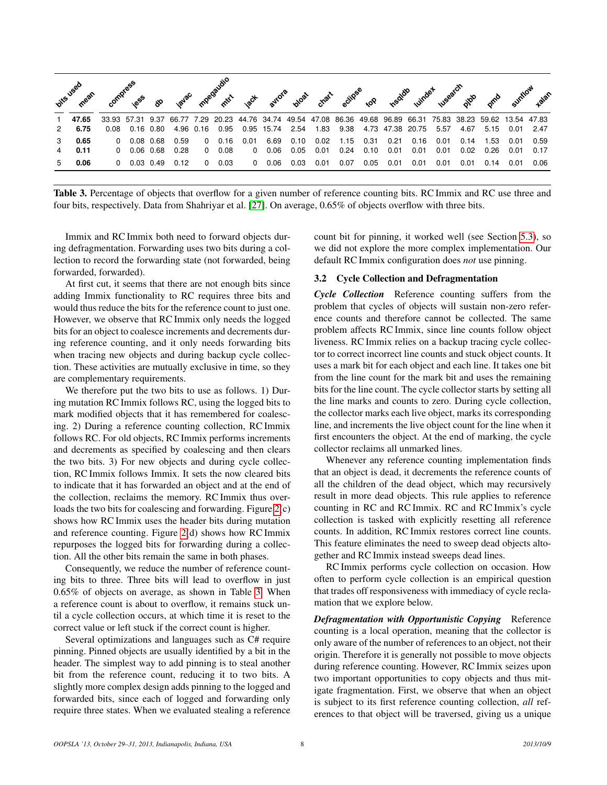<span id="page-7-0"></span>

|                                | Dits used     |      | 1859                       | $8^{\circ}$ | <b>LayaC</b>                                                                                                    |                      | mpegaudio      |                  |              | vect avoir plast craft editine top readily windot weater app |              |              |              |              |                       |              |              |              | <b>World</b> | ralan        |
|--------------------------------|---------------|------|----------------------------|-------------|-----------------------------------------------------------------------------------------------------------------|----------------------|----------------|------------------|--------------|--------------------------------------------------------------|--------------|--------------|--------------|--------------|-----------------------|--------------|--------------|--------------|--------------|--------------|
| $\mathbf{1}$<br>2              | 47.65<br>6.75 | 0.08 | 0.16 0.80                  |             | 33.93 57.31 9.37 66.77 7.29 20.23 44.76 34.74 49.54 47.08 86.36 49.68 96.89 66.31 75.83 38.23 59.62 13.54 47.83 |                      | 4.96 0.16 0.95 |                  |              | 0.95 15.74 2.54 1.83                                         |              |              |              |              | 9.38 4.73 47.38 20.75 | 5.57         | 4.67         | 5.15         |              | 0.01 2.47    |
| $\mathbf{3}$<br>$\overline{4}$ | 0.65<br>0.11  |      | 0 0.08 0.68<br>$0.06$ 0.68 |             | 0.59<br>0.28                                                                                                    | $\Omega$<br>$\Omega$ | 0.16<br>0.08   | 0.01<br>$\Omega$ | 6.69<br>0.06 | 0.10<br>0.05                                                 | 0.02<br>0.01 | 1.15<br>0.24 | 0.31<br>0.10 | 0.21<br>0.01 | 0.16<br>0.01          | 0.01<br>0.01 | 0.14<br>0.02 | 1.53<br>0.26 | 0.01<br>0.01 | 0.59<br>0.17 |
| 5                              | 0.06          |      | $0\quad 0.03\quad 0.49$    |             | 0.12                                                                                                            | $\Omega$             | 0.03           | $\Omega$         | 0.06         | 0.03                                                         | 0.01         | 0.07         | 0.05         | 0.01         | 0.01                  | 0.01         | 0.01         | 0.14         | 0.01         | 0.06         |

Table 3. Percentage of objects that overflow for a given number of reference counting bits. RC Immix and RC use three and four bits, respectively. Data from Shahriyar et al. [\[27\]](#page-17-2). On average, 0.65% of objects overflow with three bits.

Immix and RC Immix both need to forward objects during defragmentation. Forwarding uses two bits during a collection to record the forwarding state (not forwarded, being forwarded, forwarded).

At first cut, it seems that there are not enough bits since adding Immix functionality to RC requires three bits and would thus reduce the bits for the reference count to just one. However, we observe that RC Immix only needs the logged bits for an object to coalesce increments and decrements during reference counting, and it only needs forwarding bits when tracing new objects and during backup cycle collection. These activities are mutually exclusive in time, so they are complementary requirements.

We therefore put the two bits to use as follows. 1) During mutation RC Immix follows RC, using the logged bits to mark modified objects that it has remembered for coalescing. 2) During a reference counting collection, RC Immix follows RC. For old objects, RC Immix performs increments and decrements as specified by coalescing and then clears the two bits. 3) For new objects and during cycle collection, RC Immix follows Immix. It sets the now cleared bits to indicate that it has forwarded an object and at the end of the collection, reclaims the memory. RC Immix thus overloads the two bits for coalescing and forwarding. Figure [2\(](#page-6-0)c) shows how RC Immix uses the header bits during mutation and reference counting. Figure [2\(](#page-6-0)d) shows how RC Immix repurposes the logged bits for forwarding during a collection. All the other bits remain the same in both phases.

Consequently, we reduce the number of reference counting bits to three. Three bits will lead to overflow in just 0.65% of objects on average, as shown in Table [3.](#page-7-0) When a reference count is about to overflow, it remains stuck until a cycle collection occurs, at which time it is reset to the correct value or left stuck if the correct count is higher.

Several optimizations and languages such as C# require pinning. Pinned objects are usually identified by a bit in the header. The simplest way to add pinning is to steal another bit from the reference count, reducing it to two bits. A slightly more complex design adds pinning to the logged and forwarded bits, since each of logged and forwarding only require three states. When we evaluated stealing a reference count bit for pinning, it worked well (see Section [5.3\)](#page-14-0), so we did not explore the more complex implementation. Our default RC Immix configuration does *not* use pinning.

## <span id="page-7-1"></span>3.2 Cycle Collection and Defragmentation

*Cycle Collection* Reference counting suffers from the problem that cycles of objects will sustain non-zero reference counts and therefore cannot be collected. The same problem affects RC Immix, since line counts follow object liveness. RC Immix relies on a backup tracing cycle collector to correct incorrect line counts and stuck object counts. It uses a mark bit for each object and each line. It takes one bit from the line count for the mark bit and uses the remaining bits for the line count. The cycle collector starts by setting all the line marks and counts to zero. During cycle collection, the collector marks each live object, marks its corresponding line, and increments the live object count for the line when it first encounters the object. At the end of marking, the cycle collector reclaims all unmarked lines.

Whenever any reference counting implementation finds that an object is dead, it decrements the reference counts of all the children of the dead object, which may recursively result in more dead objects. This rule applies to reference counting in RC and RC Immix. RC and RC Immix's cycle collection is tasked with explicitly resetting all reference counts. In addition, RC Immix restores correct line counts. This feature eliminates the need to sweep dead objects altogether and RC Immix instead sweeps dead lines.

RC Immix performs cycle collection on occasion. How often to perform cycle collection is an empirical question that trades off responsiveness with immediacy of cycle reclamation that we explore below.

*Defragmentation with Opportunistic Copying* Reference counting is a local operation, meaning that the collector is only aware of the number of references to an object, not their origin. Therefore it is generally not possible to move objects during reference counting. However, RC Immix seizes upon two important opportunities to copy objects and thus mitigate fragmentation. First, we observe that when an object is subject to its first reference counting collection, *all* references to that object will be traversed, giving us a unique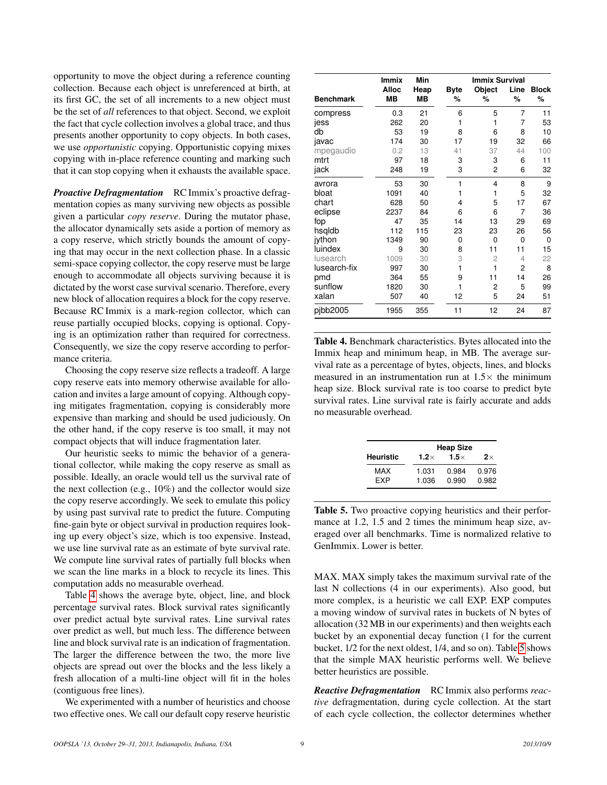opportunity to move the object during a reference counting collection. Because each object is unreferenced at birth, at its first GC, the set of all increments to a new object must be the set of *all* references to that object. Second, we exploit the fact that cycle collection involves a global trace, and thus presents another opportunity to copy objects. In both cases, we use *opportunistic* copying. Opportunistic copying mixes copying with in-place reference counting and marking such that it can stop copying when it exhausts the available space.

*Proactive Defragmentation* RC Immix's proactive defragmentation copies as many surviving new objects as possible given a particular *copy reserve*. During the mutator phase, the allocator dynamically sets aside a portion of memory as a copy reserve, which strictly bounds the amount of copying that may occur in the next collection phase. In a classic semi-space copying collector, the copy reserve must be large enough to accommodate all objects surviving because it is dictated by the worst case survival scenario. Therefore, every new block of allocation requires a block for the copy reserve. Because RC Immix is a mark-region collector, which can reuse partially occupied blocks, copying is optional. Copying is an optimization rather than required for correctness. Consequently, we size the copy reserve according to performance criteria.

Choosing the copy reserve size reflects a tradeoff. A large copy reserve eats into memory otherwise available for allocation and invites a large amount of copying. Although copying mitigates fragmentation, copying is considerably more expensive than marking and should be used judiciously. On the other hand, if the copy reserve is too small, it may not compact objects that will induce fragmentation later.

Our heuristic seeks to mimic the behavior of a generational collector, while making the copy reserve as small as possible. Ideally, an oracle would tell us the survival rate of the next collection (e.g., 10%) and the collector would size the copy reserve accordingly. We seek to emulate this policy by using past survival rate to predict the future. Computing fine-gain byte or object survival in production requires looking up every object's size, which is too expensive. Instead, we use line survival rate as an estimate of byte survival rate. We compute line survival rates of partially full blocks when we scan the line marks in a block to recycle its lines. This computation adds no measurable overhead.

Table [4](#page-8-0) shows the average byte, object, line, and block percentage survival rates. Block survival rates significantly over predict actual byte survival rates. Line survival rates over predict as well, but much less. The difference between line and block survival rate is an indication of fragmentation. The larger the difference between the two, the more live objects are spread out over the blocks and the less likely a fresh allocation of a multi-line object will fit in the holes (contiguous free lines).

We experimented with a number of heuristics and choose two effective ones. We call our default copy reserve heuristic

<span id="page-8-0"></span>

|                  | <b>Immix</b> | Min       |             | <b>Immix Survival</b> |                |              |
|------------------|--------------|-----------|-------------|-----------------------|----------------|--------------|
|                  | Alloc        | Heap      | <b>Byte</b> | Object                | Line           | <b>Block</b> |
| <b>Benchmark</b> | MВ           | <b>MB</b> | %           | %                     | %              | %            |
| compress         | 0.3          | 21        | 6           | 5                     | 7              | 11           |
| jess             | 262          | 20        | 1           | 1                     | 7              | 53           |
| db               | 53           | 19        | 8           | 6                     | 8              | 10           |
| javac            | 174          | 30        | 17          | 19                    | 32             | 66           |
| mpegaudio        | 0.2          | 13        | 41          | 37                    | 44             | 100          |
| mtrt             | 97           | 18        | 3           | 3                     | 6              | 11           |
| jack             | 248          | 19        | 3           | 2                     | 6              | 32           |
| avrora           | 53           | 30        | 1           | 4                     | 8              | 9            |
| bloat            | 1091         | 40        | 1           | 1                     | 5              | 32           |
| chart            | 628          | 50        | 4           | 5                     | 17             | 67           |
| eclipse          | 2237         | 84        | 6           | 6                     | 7              | 36           |
| fop              | 47           | 35        | 14          | 13                    | 29             | 69           |
| hsqldb           | 112          | 115       | 23          | 23                    | 26             | 56           |
| jython           | 1349         | 90        | 0           | 0                     | 0              | 0            |
| luindex          | 9            | 30        | 8           | 11                    | 11             | 15           |
| lusearch         | 1009         | 30        | 3           | $\overline{c}$        | 4              | 22           |
| lusearch-fix     | 997          | 30        | 1           | 1                     | $\overline{2}$ | 8            |
| pmd              | 364          | 55        | 9           | 11                    | 14             | 26           |
| sunflow          | 1820         | 30        | 1           | 2                     | 5              | 99           |
| xalan            | 507          | 40        | 12          | 5                     | 24             | 51           |
| pjbb2005         | 1955         | 355       | 11          | 12                    | 24             | 87           |

Table 4. Benchmark characteristics. Bytes allocated into the Immix heap and minimum heap, in MB. The average survival rate as a percentage of bytes, objects, lines, and blocks measured in an instrumentation run at  $1.5\times$  the minimum heap size. Block survival rate is too coarse to predict byte survival rates. Line survival rate is fairly accurate and adds no measurable overhead.

<span id="page-8-1"></span>

|                  |             | <b>Heap Size</b> |           |
|------------------|-------------|------------------|-----------|
| <b>Heuristic</b> | $1.2\times$ | $1.5\times$      | $2\times$ |
| MAX              | 1.031       | 0.984            | 0.976     |
| FXP              | 1.036       | 0.990            | 0.982     |

Table 5. Two proactive copying heuristics and their performance at 1.2, 1.5 and 2 times the minimum heap size, averaged over all benchmarks. Time is normalized relative to GenImmix. Lower is better.

MAX. MAX simply takes the maximum survival rate of the last N collections (4 in our experiments). Also good, but more complex, is a heuristic we call EXP. EXP computes a moving window of survival rates in buckets of N bytes of allocation (32 MB in our experiments) and then weights each bucket by an exponential decay function (1 for the current bucket, 1/2 for the next oldest, 1/4, and so on). Table [5](#page-8-1) shows that the simple MAX heuristic performs well. We believe better heuristics are possible.

*Reactive Defragmentation* RC Immix also performs *reactive* defragmentation, during cycle collection. At the start of each cycle collection, the collector determines whether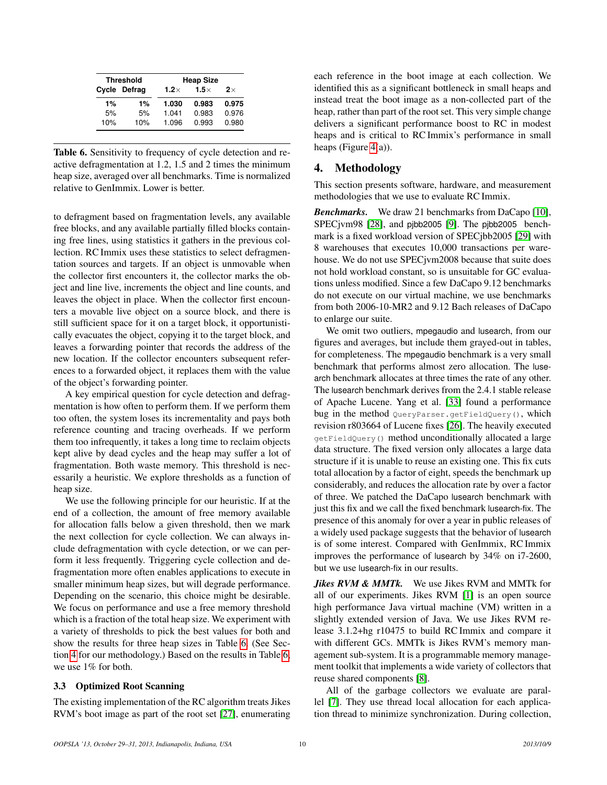<span id="page-9-1"></span>

|       | <b>Threshold</b> | <b>Heap Size</b> |             |           |  |  |
|-------|------------------|------------------|-------------|-----------|--|--|
|       | Cycle Defrag     | $1.2\times$      | $1.5\times$ | $2\times$ |  |  |
| $1\%$ | $1\%$            | 1.030            | 0.983       | 0.975     |  |  |
| 5%    | 5%               | 1.041            | 0.983       | 0.976     |  |  |
| 10%   | 10%              | 1.096            | 0.993       | 0.980     |  |  |

Table 6. Sensitivity to frequency of cycle detection and reactive defragmentation at 1.2, 1.5 and 2 times the minimum heap size, averaged over all benchmarks. Time is normalized relative to GenImmix. Lower is better.

to defragment based on fragmentation levels, any available free blocks, and any available partially filled blocks containing free lines, using statistics it gathers in the previous collection. RC Immix uses these statistics to select defragmentation sources and targets. If an object is unmovable when the collector first encounters it, the collector marks the object and line live, increments the object and line counts, and leaves the object in place. When the collector first encounters a movable live object on a source block, and there is still sufficient space for it on a target block, it opportunistically evacuates the object, copying it to the target block, and leaves a forwarding pointer that records the address of the new location. If the collector encounters subsequent references to a forwarded object, it replaces them with the value of the object's forwarding pointer.

A key empirical question for cycle detection and defragmentation is how often to perform them. If we perform them too often, the system loses its incrementality and pays both reference counting and tracing overheads. If we perform them too infrequently, it takes a long time to reclaim objects kept alive by dead cycles and the heap may suffer a lot of fragmentation. Both waste memory. This threshold is necessarily a heuristic. We explore thresholds as a function of heap size.

We use the following principle for our heuristic. If at the end of a collection, the amount of free memory available for allocation falls below a given threshold, then we mark the next collection for cycle collection. We can always include defragmentation with cycle detection, or we can perform it less frequently. Triggering cycle collection and defragmentation more often enables applications to execute in smaller minimum heap sizes, but will degrade performance. Depending on the scenario, this choice might be desirable. We focus on performance and use a free memory threshold which is a fraction of the total heap size. We experiment with a variety of thresholds to pick the best values for both and show the results for three heap sizes in Table [6.](#page-9-1) (See Section [4](#page-9-0) for our methodology.) Based on the results in Table [6,](#page-9-1) we use 1% for both.

### <span id="page-9-2"></span>3.3 Optimized Root Scanning

The existing implementation of the RC algorithm treats Jikes RVM's boot image as part of the root set [\[27\]](#page-17-2), enumerating each reference in the boot image at each collection. We identified this as a significant bottleneck in small heaps and instead treat the boot image as a non-collected part of the heap, rather than part of the root set. This very simple change delivers a significant performance boost to RC in modest heaps and is critical to RC Immix's performance in small heaps (Figure [4\(](#page-13-0)a)).

## <span id="page-9-0"></span>4. Methodology

This section presents software, hardware, and measurement methodologies that we use to evaluate RC Immix.

*Benchmarks.* We draw 21 benchmarks from DaCapo [\[10\]](#page-16-15), SPECjvm98 [\[28\]](#page-17-9), and pjbb2005 [\[9\]](#page-16-16). The pjbb2005 benchmark is a fixed workload version of SPECjbb2005 [\[29\]](#page-17-10) with 8 warehouses that executes 10,000 transactions per warehouse. We do not use SPECjvm2008 because that suite does not hold workload constant, so is unsuitable for GC evaluations unless modified. Since a few DaCapo 9.12 benchmarks do not execute on our virtual machine, we use benchmarks from both 2006-10-MR2 and 9.12 Bach releases of DaCapo to enlarge our suite.

We omit two outliers, mpegaudio and lusearch, from our figures and averages, but include them grayed-out in tables, for completeness. The mpegaudio benchmark is a very small benchmark that performs almost zero allocation. The lusearch benchmark allocates at three times the rate of any other. The lusearch benchmark derives from the 2.4.1 stable release of Apache Lucene. Yang et al. [\[33\]](#page-17-3) found a performance bug in the method QueryParser.getFieldQuery(), which revision r803664 of Lucene fixes [\[26\]](#page-17-11). The heavily executed getFieldQuery() method unconditionally allocated a large data structure. The fixed version only allocates a large data structure if it is unable to reuse an existing one. This fix cuts total allocation by a factor of eight, speeds the benchmark up considerably, and reduces the allocation rate by over a factor of three. We patched the DaCapo lusearch benchmark with just this fix and we call the fixed benchmark lusearch-fix. The presence of this anomaly for over a year in public releases of a widely used package suggests that the behavior of lusearch is of some interest. Compared with GenImmix, RC Immix improves the performance of lusearch by 34% on i7-2600, but we use lusearch-fix in our results.

*Jikes RVM & MMTk.* We use Jikes RVM and MMTk for all of our experiments. Jikes RVM [\[1\]](#page-16-17) is an open source high performance Java virtual machine (VM) written in a slightly extended version of Java. We use Jikes RVM release 3.1.2+hg r10475 to build RC Immix and compare it with different GCs. MMTk is Jikes RVM's memory management sub-system. It is a programmable memory management toolkit that implements a wide variety of collectors that reuse shared components [\[8\]](#page-16-5).

All of the garbage collectors we evaluate are parallel [\[7\]](#page-16-18). They use thread local allocation for each application thread to minimize synchronization. During collection,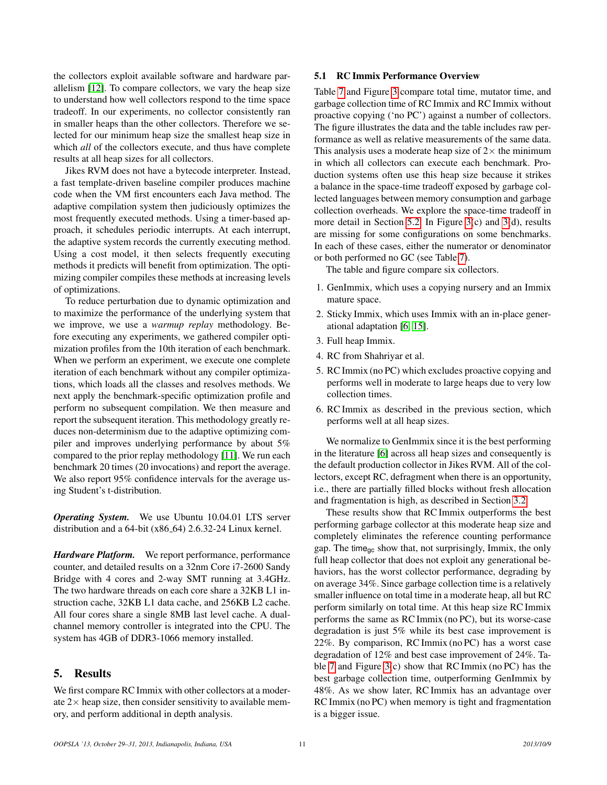the collectors exploit available software and hardware parallelism [\[12\]](#page-16-19). To compare collectors, we vary the heap size to understand how well collectors respond to the time space tradeoff. In our experiments, no collector consistently ran in smaller heaps than the other collectors. Therefore we selected for our minimum heap size the smallest heap size in which *all* of the collectors execute, and thus have complete results at all heap sizes for all collectors.

Jikes RVM does not have a bytecode interpreter. Instead, a fast template-driven baseline compiler produces machine code when the VM first encounters each Java method. The adaptive compilation system then judiciously optimizes the most frequently executed methods. Using a timer-based approach, it schedules periodic interrupts. At each interrupt, the adaptive system records the currently executing method. Using a cost model, it then selects frequently executing methods it predicts will benefit from optimization. The optimizing compiler compiles these methods at increasing levels of optimizations.

To reduce perturbation due to dynamic optimization and to maximize the performance of the underlying system that we improve, we use a *warmup replay* methodology. Before executing any experiments, we gathered compiler optimization profiles from the 10th iteration of each benchmark. When we perform an experiment, we execute one complete iteration of each benchmark without any compiler optimizations, which loads all the classes and resolves methods. We next apply the benchmark-specific optimization profile and perform no subsequent compilation. We then measure and report the subsequent iteration. This methodology greatly reduces non-determinism due to the adaptive optimizing compiler and improves underlying performance by about 5% compared to the prior replay methodology [\[11\]](#page-16-20). We run each benchmark 20 times (20 invocations) and report the average. We also report 95% confidence intervals for the average using Student's t-distribution.

*Operating System.* We use Ubuntu 10.04.01 LTS server distribution and a 64-bit (x86 64) 2.6.32-24 Linux kernel.

*Hardware Platform.* We report performance, performance counter, and detailed results on a 32nm Core i7-2600 Sandy Bridge with 4 cores and 2-way SMT running at 3.4GHz. The two hardware threads on each core share a 32KB L1 instruction cache, 32KB L1 data cache, and 256KB L2 cache. All four cores share a single 8MB last level cache. A dualchannel memory controller is integrated into the CPU. The system has 4GB of DDR3-1066 memory installed.

## 5. Results

We first compare RC Immix with other collectors at a moderate  $2\times$  heap size, then consider sensitivity to available memory, and perform additional in depth analysis.

## 5.1 RC Immix Performance Overview

Table [7](#page-12-0) and Figure [3](#page-11-0) compare total time, mutator time, and garbage collection time of RC Immix and RC Immix without proactive copying ('no PC') against a number of collectors. The figure illustrates the data and the table includes raw performance as well as relative measurements of the same data. This analysis uses a moderate heap size of  $2\times$  the minimum in which all collectors can execute each benchmark. Production systems often use this heap size because it strikes a balance in the space-time tradeoff exposed by garbage collected languages between memory consumption and garbage collection overheads. We explore the space-time tradeoff in more detail in Section [5.2.](#page-13-1) In Figure [3\(](#page-11-0)c) and [3\(](#page-11-0)d), results are missing for some configurations on some benchmarks. In each of these cases, either the numerator or denominator or both performed no GC (see Table [7\)](#page-12-0).

The table and figure compare six collectors.

- 1. GenImmix, which uses a copying nursery and an Immix mature space.
- 2. Sticky Immix, which uses Immix with an in-place generational adaptation [\[6,](#page-16-4) [15\]](#page-16-9).
- 3. Full heap Immix.
- 4. RC from Shahriyar et al.
- 5. RC Immix (no PC) which excludes proactive copying and performs well in moderate to large heaps due to very low collection times.
- 6. RC Immix as described in the previous section, which performs well at all heap sizes.

We normalize to GenImmix since it is the best performing in the literature [\[6\]](#page-16-4) across all heap sizes and consequently is the default production collector in Jikes RVM. All of the collectors, except RC, defragment when there is an opportunity, i.e., there are partially filled blocks without fresh allocation and fragmentation is high, as described in Section [3.2.](#page-7-1)

These results show that RC Immix outperforms the best performing garbage collector at this moderate heap size and completely eliminates the reference counting performance gap. The timegc show that, not surprisingly, Immix, the only full heap collector that does not exploit any generational behaviors, has the worst collector performance, degrading by on average 34%. Since garbage collection time is a relatively smaller influence on total time in a moderate heap, all but RC perform similarly on total time. At this heap size RC Immix performs the same as RC Immix (no PC), but its worse-case degradation is just 5% while its best case improvement is 22%. By comparison, RC Immix (no PC) has a worst case degradation of 12% and best case improvement of 24%. Table [7](#page-12-0) and Figure [3\(](#page-11-0)c) show that RC Immix (no PC) has the best garbage collection time, outperforming GenImmix by 48%. As we show later, RC Immix has an advantage over RC Immix (no PC) when memory is tight and fragmentation is a bigger issue.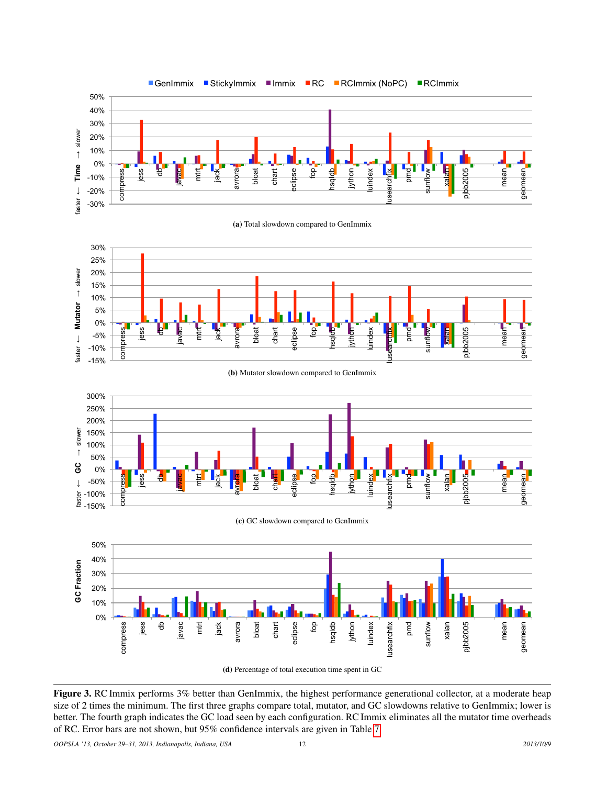<span id="page-11-0"></span>

Figure 3. RC Immix performs 3% better than GenImmix, the highest performance generational collector, at a moderate heap size of 2 times the minimum. The first three graphs compare total, mutator, and GC slowdowns relative to GenImmix; lower is better. The fourth graph indicates the GC load seen by each configuration. RC Immix eliminates all the mutator time overheads of RC. Error bars are not shown, but 95% confidence intervals are given in Table [7.](#page-12-0)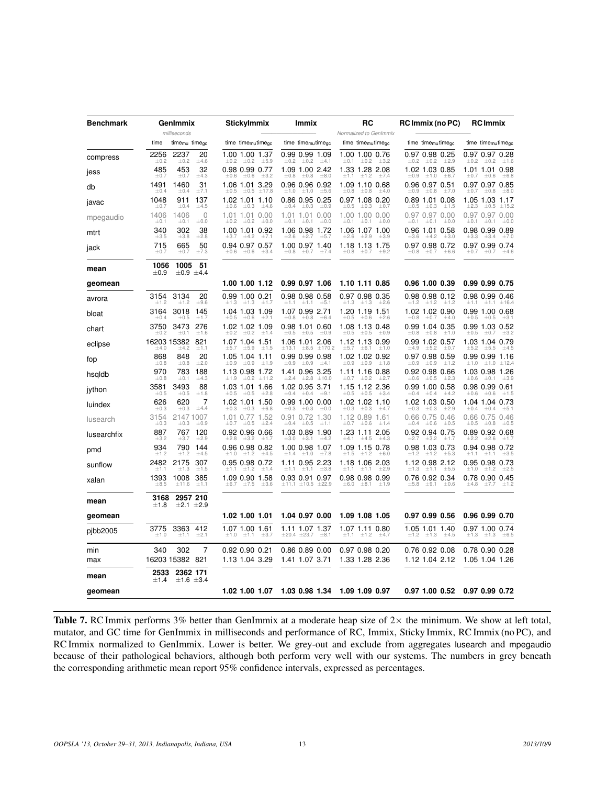<span id="page-12-0"></span>

| <b>Benchmark</b> | Genlmmix                                                        | Stickylmmix                                           | Immix                                                    | RC                                                                   | <b>RC Immix (no PC)</b>                                  | <b>RC</b> Immix                                       |
|------------------|-----------------------------------------------------------------|-------------------------------------------------------|----------------------------------------------------------|----------------------------------------------------------------------|----------------------------------------------------------|-------------------------------------------------------|
|                  | milliseconds<br>time<br>time <sub>mu</sub> time <sub>gc</sub>   | time time <sub>mu</sub> time <sub>gc</sub>            | time time <sub>mu</sub> time <sub>gc</sub>               | Normalized to GenImmix<br>time time <sub>mu</sub> time <sub>gc</sub> | time time <sub>mu</sub> time <sub>gc</sub>               | time time <sub>mu</sub> time <sub>gc</sub>            |
| compress         | 2256<br>2237<br>20<br>$\pm 4.6$<br>$\pm$ 0.2<br>$\pm$ 0.2       | 1.00 1.00 1.37<br>$\pm 0.2$<br>$\pm$ 0.2<br>$\pm 5.9$ | 0.99 0.99 1.09<br>$\pm 0.2$ $\pm 0.2$<br>±4.1            | 1.00 1.00 0.76<br>$\pm 0.1$ $\pm 0.2$<br>$\pm$ 3.2                   | 0.97 0.98 0.25<br>$\pm 2.9$<br>$\pm 0.2$ $\pm 0.2$       | 0.97 0.97 0.28<br>$\pm 0.2$<br>$\pm$ 0.2<br>±1.6      |
| jess             | 485<br>453<br>32<br>±0.7<br>$\pm$ 0.7<br>$\pm 4.3$              | 0.98 0.99 0.77<br>$\pm 0.6$<br>$\pm 0.6$<br>$\pm$ 3.2 | 1.09 1.00 2.42<br>$_{\pm 0.8}$<br>$\pm 0.8$<br>$\pm 8.0$ | 1.33 1.28 2.08<br>±1.1<br>±1.2<br>±7.4                               | 1.02 1.03 0.85<br>$\pm 0.9$<br>±1.0<br>$\pm$ 6.7         | 1.01 1.01 0.98<br>$\pm$ 0.7<br>$\pm 0.6$<br>$\pm 6.8$ |
| db               | 1491<br>1460<br>31<br>±0.4<br>$\pm 0.4$<br>±7.1                 | 1.06 1.01 3.29<br>$\pm 0.5$ $\pm 0.5$<br>$\pm$ 17.8   | 0.96 0.96 0.92<br>±1.0<br>$\pm 1.0$<br>$\pm$ 5.6         | 1.09 1.10 0.68<br>$_{\pm 0.8}$<br>$\pm 0.8$<br>$\pm 4.0$             | 0.96 0.97 0.51<br>±0.9<br>$\pm 0.8$<br>$\pm 7.0$         | 0.97 0.97 0.85<br>$\pm$ 0.7<br>$\pm 0.8$<br>$\pm 8.0$ |
| javac            | 1048<br>911<br>137<br>$\pm 0.7$<br>$\pm 0.4$<br>$\pm 4.5$       | 1.02 1.01 1.10<br>$\pm 0.6$<br>$\pm 0.3$<br>$\pm 4.6$ | 0.86 0.95 0.25<br>$\pm 0.4$<br>$\pm 0.3$<br>$+0.9$       | 0.97 1.08 0.20<br>$\pm 0.5$<br>$\pm 0.3$<br>$\pm$ 0.7                | 0.89 1.01 0.08<br>$\pm 0.5$ $\pm 0.3$<br>±1.5            | 1.05 1.03 1.17<br>$\pm 2.3$<br>$\pm 0.5$<br>±15.2     |
| mpegaudio        | 1406<br>$\theta$<br>1406<br>$\pm 0.0$<br>$\pm$ 0.1<br>$\pm 0.1$ | 1.01 1.01 0.00<br>$\pm$ 0.2<br>$\pm 0.0$<br>$\pm$ 0.2 | 1.01 1.01 0.00<br>$\pm 0.1$<br>$\pm 0.0$<br>$\pm$ 0.1    | 1.00 1.00 0.00<br>$_{\pm 0.0}$<br>$\pm$ 0.1<br>$\pm$ 0.1             | 0.97 0.97 0.00<br>$\pm 0.0$<br>$\pm 0.1 \pm 0.1$         | 0.97 0.97 0.00<br>$\pm 0.1$ $\pm 0.1$<br>$\pm 0.0$    |
| mtrt             | 340<br>302<br>38<br>$\pm 3.5$<br>$\pm 3.8$<br>$\pm 2.8$         | 1.00 1.01 0.92<br>$\pm 3.7$<br>$\pm 4.2$<br>$\pm 7.1$ | 1.06 0.98 1.72<br>$\pm 2.6$<br>$\pm 2.7$<br>$\pm$ 5.7    | 1.06 1.07 1.00<br>$\pm 2.6$<br>$\pm 2.9$<br>$\pm 3.9$                | 0.96 1.01 0.58<br>$\pm 3.6$<br>$\pm 4.2$<br>$\pm 3.0$    | 0.98 0.99 0.89<br>$\pm 3.3$<br>$\pm$ 3.4<br>$\pm 7.0$ |
| jack             | 50<br>715<br>665<br>±0.7<br>$\pm$ 0.7<br>$\pm 7.3$              | 0.94 0.97 0.57<br>$\pm 0.6$<br>$\pm 0.6$<br>$\pm 3.4$ | 1.00 0.97 1.40<br>$\pm 0.7$<br>$\pm 7.4$<br>$\pm 0.8$    | 1.18 1.13 1.75<br>$\pm 0.8$<br>$\pm 0.7$<br>±9.2                     | 0.97 0.98 0.72<br>$\pm 0.8$ $\pm 0.7$<br>$\pm 6.6$       | 0.97 0.99 0.74<br>$\pm$ 0.7<br>$\pm 0.7$<br>$\pm 4.6$ |
| mean             | - 51<br>1056<br>1005<br>±0.9 ±4.4<br>$\pm 0.9$                  |                                                       |                                                          |                                                                      |                                                          |                                                       |
| geomean          |                                                                 | 1.00 1.00 1.12                                        | 0.99 0.97 1.06                                           | 1.10 1.11 0.85                                                       | 0.96 1.00 0.39                                           | 0.99 0.99 0.75                                        |
| avrora           | 20<br>3134<br>3154<br>±9.6<br>±1.2<br>±1.2                      | 0.99 1.00 0.21<br>$\pm 1.3$ $\pm 1.3$ $\pm 1.7$       | 0.98 0.98 0.58<br>$\pm 1.1$ $\pm 1.1$<br>±5.1            | 0.97 0.98 0.35<br>$\pm 1.3$ $\pm 1.3$<br>$\pm 2.6$                   | 0.98 0.98 0.12<br>$±1.2$ $±1.2$<br>±1.2                  | 0.98 0.99 0.46<br>$\pm 1.1$ $\pm 1.1$ $\pm 16.4$      |
| bloat            | 3018<br>3164<br>145<br>$\pm 0.4$<br>$\pm 0.5$<br>±1.7           | 1.04 1.03 1.09<br>$\pm 0.5$ $\pm 0.6$<br>±2.1         | 1.07 0.99 2.71<br>$\pm 0.8$ $\pm 0.8$<br>$\pm 6.4$       | 1.20 1.19 1.51<br>$\pm 0.5$ $\pm 0.6$<br>$\pm 2.6$                   | 1.02 1.02 0.90<br>$\pm 0.8$ $\pm 0.7$<br>±4.0            | 0.99 1.00 0.68<br>$\pm 0.5$<br>$\pm 0.5$<br>$\pm$ 3.1 |
| chart            | 3750<br>3473<br>276<br>$\pm$ 0.2<br>$\pm$ 0.1<br>±1.6           | 1.02 1.02 1.09<br>$\pm$ 0.2<br>$\pm$ 0.2<br>$\pm 1.4$ | 0.98 1.01 0.60<br>$\pm 0.5$<br>$\pm 0.5$<br>$\pm 0.9$    | 1.08 1.13 0.48<br>$\pm 0.5$<br>$\pm 0.5$<br>$\pm 0.9$                | 0.99 1.04 0.35<br>$_{\pm 0.8}$<br>$\pm 0.8$<br>$\pm 1.0$ | 0.99 1.03 0.52<br>$\pm 0.5$<br>$\pm 0.7$<br>$\pm$ 3.2 |
| eclipse          | 16203 15382<br>821<br>$\pm 4.0$<br>$\pm$ 4.2<br>±1.1            | 1.07 1.04 1.51<br>$±5.7$ $±5.9$<br>±1.5               | 1.06 1.01 2.06<br>±13.1<br>$\pm 8.5$ $\pm 170.2$         | 1.12 1.13 0.99<br>$\pm$ 5.7<br>$\pm$ 6.1<br>$\pm 1.0$                | 0.99 1.02 0.57<br>$\pm 4.9$<br>$\pm$ 5.2<br>$\pm 0.7$    | 1.03 1.04 0.79<br>$\pm$ 5.2<br>$\pm 5.5$<br>$\pm 4.5$ |
| fop              | 20<br>868<br>848<br>$\pm 0.8$<br>$\pm 0.8$<br>±2.0              | 1.05 1.04 1.11<br>±0.9<br>±0.9<br>±1.9                | 0.99 0.99 0.98<br>$\pm 0.9$<br>$\pm 0.9$<br>$\pm 4.1$    | 1.02 1.02 0.92<br>$\pm 0.9$<br>$\pm 0.9$<br>±1.8                     | 0.97 0.98 0.59<br>±0.9<br>$\pm 0.9$<br>±1.2              | 0.99 0.99 1.16<br>±1.0<br>±1.0<br>±12.4               |
| hsqldb           | 970<br>783<br>188<br>$\pm 0.8$<br>$\pm 0.1$<br>$\pm 4.3$        | 1.13 0.98 1.72<br>$\pm 0.2$ $\pm 11.2$<br>±1.9        | 1.41 0.96 3.25<br>$\pm 2.4$<br>$\pm 2.8$<br>±10.0        | 1.11 1.16 0.88<br>$\pm 0.7$<br>$\pm 0.2$<br>$\pm 2.7$                | 0.92 0.98 0.66<br>$\pm 0.6$<br>$\pm 0.5$<br>$\pm 2.3$    | 1.03 0.98 1.26<br>$\pm 0.6$<br>$\pm$ 0.1<br>$\pm 3.9$ |
| jython           | 3581<br>3493<br>88<br>$+1.8$<br>$\pm 0.5$<br>$+0.5$             | 1.03 1.01 1.66<br>$\pm 0.5$ $\pm 0.5$<br>$\pm 2.8$    | 1.02 0.95 3.71<br>$+0.4$<br>$+9.1$<br>$\pm 0.4$          | 1.15 1.12 2.36<br>$\pm 0.5$ $\pm 0.5$<br>$+3.4$                      | 0.99 1.00 0.58<br>$\pm 0.4$ $\pm 0.4$<br>$+4.2$          | 0.98 0.99 0.61<br>$+0.6$<br>$\pm 0.6$<br>$+1.5$       |
| luindex          | 626<br>620<br>$\overline{7}$<br>$\pm 0.3$<br>$\pm 0.3$<br>±4.4  | 1.02 1.01 1.50<br>$\pm 0.3$<br>$\pm 0.3$<br>$\pm 6.8$ | 0.99 1.00 0.00<br>$\pm 0.3$<br>$\pm 0.3$<br>$\pm 0.0$    | 1.02 1.02 1.10<br>$\pm 0.3$<br>$\pm 0.3$<br>$\pm 4.7$                | 1.02 1.03 0.50<br>$\pm 0.3$<br>$\pm 0.3$<br>$\pm 2.9$    | 1.04 1.04 0.73<br>$\pm 0.4$<br>$\pm 0.4$<br>±5.1      |
| lusearch         | 21471007<br>3154<br>$\pm 0.3$<br>$\pm 0.3$<br>$\pm 0.9$         | 1.01 0.77 1.52<br>$\pm 0.7$<br>$\pm 0.5$<br>$\pm 2.4$ | 0.91 0.72 1.30<br>$\pm 0.5$<br>$\pm 0.4$<br>±1.1         | 1.12 0.89 1.61<br>$\pm 0.7$<br>$\pm 0.6$<br>±1.4                     | 0.66 0.75 0.46<br>$\pm 0.4$<br>$\pm 0.6$<br>$\pm 0.5$    | 0.66 0.75 0.46<br>$\pm 0.5$<br>$\pm 0.8$<br>$\pm 0.5$ |
| lusearchfix      | 887<br>767<br>120<br>$\pm$ 3.2<br>$\pm 2.9$<br>$\pm 3.7$        | 0.92 0.96 0.66<br>$\pm 2.8$<br>$\pm$ 3.2<br>$\pm 1.7$ | 1.03 0.89 1.90<br>$\pm 3.0$<br>$\pm 3.1$<br>$\pm 4.2$    | 1.23 1.11 2.05<br>$\pm 4.5$<br>$\pm 4.3$<br>±4.1                     | 0.92 0.94 0.75<br>$\pm$ 3.2<br>$\pm 2.7$<br>±1.7         | 0.89 0.92 0.68<br>$\pm 2.2$<br>$\pm 2.6$<br>±1.7      |
| pmd              | 934<br>790<br>144<br>$\pm 4.5$<br>±1.2<br>±1.2                  | 0.96 0.98 0.82<br>$±1.0$ $±1.2$<br>$\pm 4.5$          | 1.00 0.98 1.07<br>±1.4 ±1.0<br>$\pm 7.8$                 | 1.09 1.15 0.78<br>$±1.5$ $±1.2$<br>$\pm 6.0$                         | 0.98 1.03 0.73<br>$±1.2$ $±1.2$<br>$\pm 5.3$             | 0.94 0.98 0.72<br>$+1.1$<br>$\pm 1.1$<br>$\pm 3.5$    |
| sunflow          | 307<br>2482<br>2175<br>$\pm 1.3$<br>±1.5<br>$_{\pm 1.1}$        | 0.95 0.98 0.72<br>±1.2<br>±1.4<br>±1.1                | 1.11 0.95 2.23<br>±1.1<br>±1.1<br>$\pm 3.8$              | 1.18 1.06 2.03<br>±1.1<br>±1.1<br>$\pm 2.9$                          | 1.12 0.98 2.12<br>$\pm 1.3$<br>±1.1<br>$\pm 5.5$         | 0.95 0.98 0.73<br>±1.0<br>±1.2<br>±2.5                |
| xalan            | 1393<br>1008<br>385<br>$\pm 8.5$<br>±11.6<br>±1.1               | 1.09 0.90 1.58<br>$\pm 6.7$<br>$\pm 7.5$<br>$\pm 3.6$ | 0.93 0.91 0.97<br>$\pm$ 11.1 $\pm$ 10.5 $\pm$ 22.9       | 0.98 0.98 0.99<br>$\pm 6.0$<br>$\pm 8.1$<br>±1.9                     | 0.76 0.92 0.34<br>$\pm 0.6$<br>$\pm$ 5.8<br>±9.1         | 0.78 0.90 0.45<br>$\pm 4.8$<br>±7.7<br>$\pm 1.2$      |
| mean             | 2957 210<br>3168<br>±1.8<br>±2.1 ±2.9                           |                                                       |                                                          |                                                                      |                                                          |                                                       |
| geomean          |                                                                 | 1.02 1.00 1.01                                        | 1.04 0.97 0.00                                           | 1.09 1.08 1.05                                                       | 0.97 0.99 0.56                                           | 0.96 0.99 0.70                                        |
| pjbb2005         | 3775<br>3363 412<br>±1.0<br>±1.1<br>$\pm 2.1$                   | 1.07 1.00 1.61<br>±1.0<br>±1.1<br>$\pm$ 3.7           | 1.11 1.07 1.37<br>$\pm 20.4 \pm 23.7$<br>$\pm$ 8.1       | 1.07 1.11 0.80<br>$±1.1$ $±1.2$<br>±4.7                              | 1.05 1.01 1.40<br>±1.2<br>±1.3<br>$\pm 4.5$              | 0.97 1.00 0.74<br>$\pm 1.3$<br>±1.3<br>$\pm 6.5$      |
| min<br>max       | 340<br>302<br>7<br>16203 15382 821                              | 0.92 0.90 0.21<br>1.13 1.04 3.29                      | 0.86 0.89 0.00<br>1.41 1.07 3.71                         | 0.97 0.98 0.20<br>1.33 1.28 2.36                                     | 0.76 0.92 0.08<br>1.12 1.04 2.12                         | 0.78 0.90 0.28<br>1.05 1.04 1.26                      |
|                  | 2362 171<br>2533                                                |                                                       |                                                          |                                                                      |                                                          |                                                       |
| mean             | ±1.6 ±3.4<br>±1.4                                               |                                                       | 1.02 1.00 1.07 1.03 0.98 1.34                            | 1.09 1.09 0.97                                                       | 0.97 1.00 0.52 0.97 0.99 0.72                            |                                                       |
| geomean          |                                                                 |                                                       |                                                          |                                                                      |                                                          |                                                       |

Table 7. RC Immix performs 3% better than GenImmix at a moderate heap size of  $2\times$  the minimum. We show at left total, mutator, and GC time for GenImmix in milliseconds and performance of RC, Immix, Sticky Immix, RC Immix (no PC), and RC Immix normalized to GenImmix. Lower is better. We grey-out and exclude from aggregates lusearch and mpegaudio because of their pathological behaviors, although both perform very well with our systems. The numbers in grey beneath the corresponding arithmetic mean report 95% confidence intervals, expressed as percentages.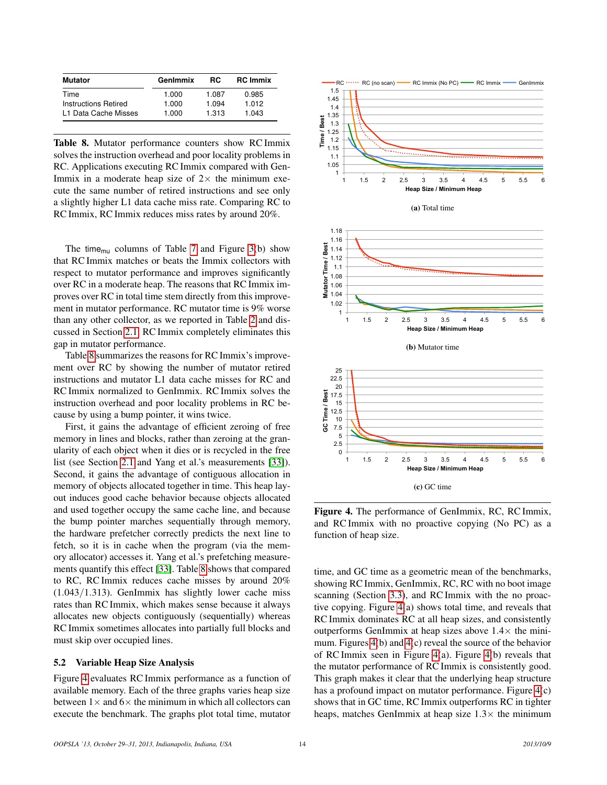<span id="page-13-2"></span>

| <b>Mutator</b>       | Genlmmix | RC.   | <b>RC</b> Immix |
|----------------------|----------|-------|-----------------|
| Time                 | 1.000    | 1.087 | 0.985           |
| Instructions Retired | 1.000    | 1.094 | 1.012           |
| L1 Data Cache Misses | 1.000    | 1.313 | 1.043           |

Table 8. Mutator performance counters show RC Immix solves the instruction overhead and poor locality problems in RC. Applications executing RC Immix compared with Gen-Immix in a moderate heap size of  $2 \times$  the minimum execute the same number of retired instructions and see only a slightly higher L1 data cache miss rate. Comparing RC to RC Immix, RC Immix reduces miss rates by around 20%.

The time<sub>mu</sub> columns of Table [7](#page-12-0) and Figure [3\(](#page-11-0)b) show that RC Immix matches or beats the Immix collectors with respect to mutator performance and improves significantly over RC in a moderate heap. The reasons that RC Immix improves over RC in total time stem directly from this improvement in mutator performance. RC mutator time is 9% worse than any other collector, as we reported in Table [2](#page-3-0) and discussed in Section [2.1.](#page-1-0) RC Immix completely eliminates this gap in mutator performance.

Table [8](#page-13-2) summarizes the reasons for RC Immix's improvement over RC by showing the number of mutator retired instructions and mutator L1 data cache misses for RC and RC Immix normalized to GenImmix. RC Immix solves the instruction overhead and poor locality problems in RC because by using a bump pointer, it wins twice.

First, it gains the advantage of efficient zeroing of free memory in lines and blocks, rather than zeroing at the granularity of each object when it dies or is recycled in the free list (see Section [2.1](#page-1-0) and Yang et al.'s measurements [\[33\]](#page-17-3)). Second, it gains the advantage of contiguous allocation in memory of objects allocated together in time. This heap layout induces good cache behavior because objects allocated and used together occupy the same cache line, and because the bump pointer marches sequentially through memory, the hardware prefetcher correctly predicts the next line to fetch, so it is in cache when the program (via the memory allocator) accesses it. Yang et al.'s prefetching measurements quantify this effect [\[33\]](#page-17-3). Table [8](#page-13-2) shows that compared to RC, RC Immix reduces cache misses by around 20%  $(1.043/1.313)$ . GenImmix has slightly lower cache miss rates than RC Immix, which makes sense because it always allocates new objects contiguously (sequentially) whereas RC Immix sometimes allocates into partially full blocks and must skip over occupied lines.

#### <span id="page-13-1"></span>5.2 Variable Heap Size Analysis

Figure [4](#page-13-0) evaluates RC Immix performance as a function of available memory. Each of the three graphs varies heap size between  $1 \times$  and  $6 \times$  the minimum in which all collectors can execute the benchmark. The graphs plot total time, mutator

<span id="page-13-0"></span>

Figure 4. The performance of GenImmix, RC, RC Immix, and RC Immix with no proactive copying (No PC) as a function of heap size.

time, and GC time as a geometric mean of the benchmarks, showing RC Immix, GenImmix, RC, RC with no boot image scanning (Section [3.3\)](#page-9-2), and RC Immix with the no proactive copying. Figure [4\(](#page-13-0)a) shows total time, and reveals that RC Immix dominates RC at all heap sizes, and consistently outperforms GenImmix at heap sizes above  $1.4\times$  the minimum. Figures [4\(](#page-13-0)b) and [4\(](#page-13-0)c) reveal the source of the behavior of RC Immix seen in Figure [4\(](#page-13-0)a). Figure [4\(](#page-13-0)b) reveals that the mutator performance of RC Immix is consistently good. This graph makes it clear that the underlying heap structure has a profound impact on mutator performance. Figure [4\(](#page-13-0)c) shows that in GC time, RC Immix outperforms RC in tighter heaps, matches GenImmix at heap size  $1.3\times$  the minimum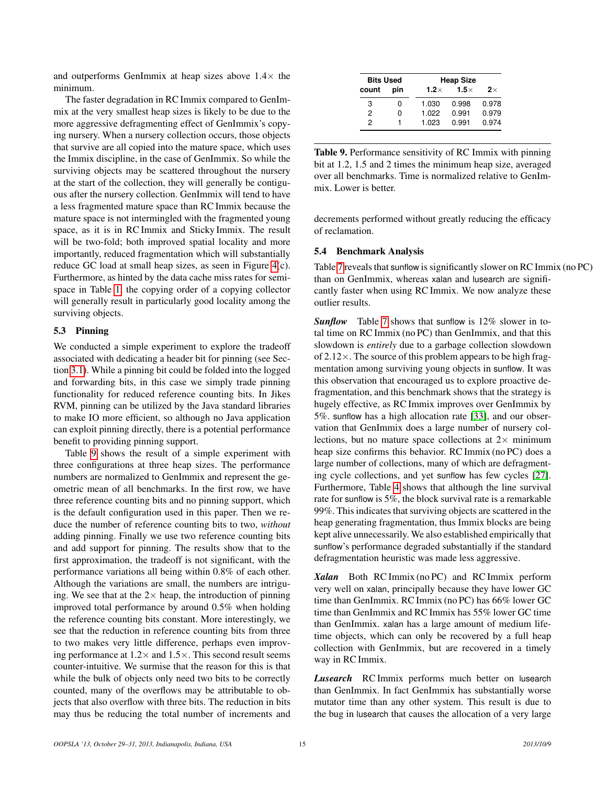and outperforms GenImmix at heap sizes above  $1.4\times$  the minimum.

The faster degradation in RC Immix compared to GenImmix at the very smallest heap sizes is likely to be due to the more aggressive defragmenting effect of GenImmix's copying nursery. When a nursery collection occurs, those objects that survive are all copied into the mature space, which uses the Immix discipline, in the case of GenImmix. So while the surviving objects may be scattered throughout the nursery at the start of the collection, they will generally be contiguous after the nursery collection. GenImmix will tend to have a less fragmented mature space than RC Immix because the mature space is not intermingled with the fragmented young space, as it is in RC Immix and Sticky Immix. The result will be two-fold; both improved spatial locality and more importantly, reduced fragmentation which will substantially reduce GC load at small heap sizes, as seen in Figure [4\(](#page-13-0)c). Furthermore, as hinted by the data cache miss rates for semispace in Table [1,](#page-2-1) the copying order of a copying collector will generally result in particularly good locality among the surviving objects.

## <span id="page-14-0"></span>5.3 Pinning

We conducted a simple experiment to explore the tradeoff associated with dedicating a header bit for pinning (see Section [3.1\)](#page-6-1). While a pinning bit could be folded into the logged and forwarding bits, in this case we simply trade pinning functionality for reduced reference counting bits. In Jikes RVM, pinning can be utilized by the Java standard libraries to make IO more efficient, so although no Java application can exploit pinning directly, there is a potential performance benefit to providing pinning support.

Table [9](#page-14-1) shows the result of a simple experiment with three configurations at three heap sizes. The performance numbers are normalized to GenImmix and represent the geometric mean of all benchmarks. In the first row, we have three reference counting bits and no pinning support, which is the default configuration used in this paper. Then we reduce the number of reference counting bits to two, *without* adding pinning. Finally we use two reference counting bits and add support for pinning. The results show that to the first approximation, the tradeoff is not significant, with the performance variations all being within 0.8% of each other. Although the variations are small, the numbers are intriguing. We see that at the  $2 \times$  heap, the introduction of pinning improved total performance by around 0.5% when holding the reference counting bits constant. More interestingly, we see that the reduction in reference counting bits from three to two makes very little difference, perhaps even improving performance at  $1.2 \times$  and  $1.5 \times$ . This second result seems counter-intuitive. We surmise that the reason for this is that while the bulk of objects only need two bits to be correctly counted, many of the overflows may be attributable to objects that also overflow with three bits. The reduction in bits may thus be reducing the total number of increments and

<span id="page-14-1"></span>

| <b>Bits Used</b> |     | <b>Heap Size</b> |             |           |  |
|------------------|-----|------------------|-------------|-----------|--|
| count            | pin | 1.2 $\times$     | $1.5\times$ | $2\times$ |  |
| 3                | n   | 1.030            | 0.998       | 0.978     |  |
| $\mathcal{P}$    | ი   | 1.022            | 0.991       | 0.979     |  |
| 2                |     | 1.023            | 0.991       | 0.974     |  |

Table 9. Performance sensitivity of RC Immix with pinning bit at 1.2, 1.5 and 2 times the minimum heap size, averaged over all benchmarks. Time is normalized relative to GenImmix. Lower is better.

decrements performed without greatly reducing the efficacy of reclamation.

## 5.4 Benchmark Analysis

Table [7](#page-12-0) reveals that sunflow is significantly slower on RC Immix (no PC) than on GenImmix, whereas xalan and lusearch are significantly faster when using RC Immix. We now analyze these outlier results.

*Sunflow* Table [7](#page-12-0) shows that sunflow is 12% slower in total time on RC Immix (no PC) than GenImmix, and that this slowdown is *entirely* due to a garbage collection slowdown of  $2.12 \times$ . The source of this problem appears to be high fragmentation among surviving young objects in sunflow. It was this observation that encouraged us to explore proactive defragmentation, and this benchmark shows that the strategy is hugely effective, as RC Immix improves over GenImmix by 5%. sunflow has a high allocation rate [\[33\]](#page-17-3), and our observation that GenImmix does a large number of nursery collections, but no mature space collections at  $2\times$  minimum heap size confirms this behavior. RC Immix (no PC) does a large number of collections, many of which are defragmenting cycle collections, and yet sunflow has few cycles [\[27\]](#page-17-2). Furthermore, Table [4](#page-8-0) shows that although the line survival rate for sunflow is 5%, the block survival rate is a remarkable 99%. This indicates that surviving objects are scattered in the heap generating fragmentation, thus Immix blocks are being kept alive unnecessarily. We also established empirically that sunflow's performance degraded substantially if the standard defragmentation heuristic was made less aggressive.

*Xalan* Both RC Immix (no PC) and RC Immix perform very well on xalan, principally because they have lower GC time than GenImmix. RC Immix (no PC) has 66% lower GC time than GenImmix and RC Immix has 55% lower GC time than GenImmix. xalan has a large amount of medium lifetime objects, which can only be recovered by a full heap collection with GenImmix, but are recovered in a timely way in RC Immix.

*Lusearch* RC Immix performs much better on lusearch than GenImmix. In fact GenImmix has substantially worse mutator time than any other system. This result is due to the bug in lusearch that causes the allocation of a very large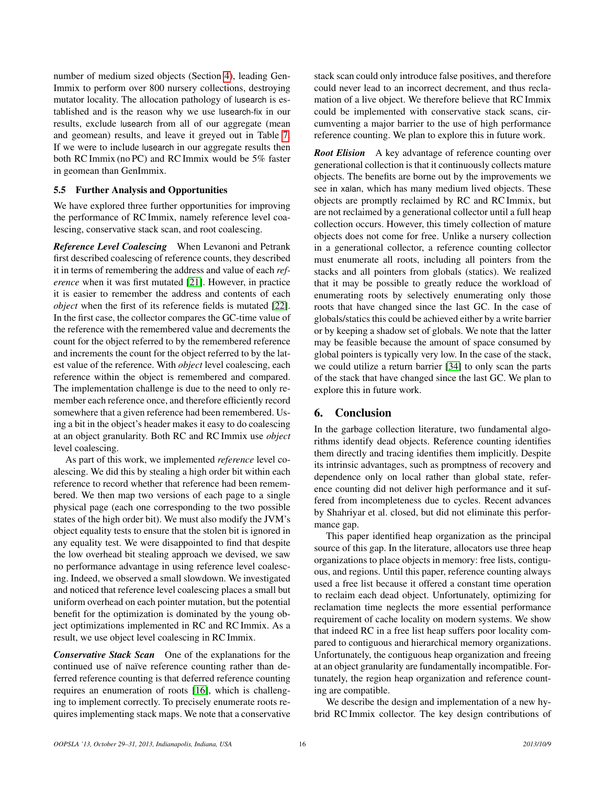number of medium sized objects (Section [4\)](#page-9-0), leading Gen-Immix to perform over 800 nursery collections, destroying mutator locality. The allocation pathology of lusearch is established and is the reason why we use lusearch-fix in our results, exclude lusearch from all of our aggregate (mean and geomean) results, and leave it greyed out in Table [7.](#page-12-0) If we were to include lusearch in our aggregate results then both RC Immix (no PC) and RC Immix would be 5% faster in geomean than GenImmix.

## 5.5 Further Analysis and Opportunities

We have explored three further opportunities for improving the performance of RC Immix, namely reference level coalescing, conservative stack scan, and root coalescing.

*Reference Level Coalescing* When Levanoni and Petrank first described coalescing of reference counts, they described it in terms of remembering the address and value of each *reference* when it was first mutated [\[21\]](#page-16-3). However, in practice it is easier to remember the address and contents of each *object* when the first of its reference fields is mutated [\[22\]](#page-17-1). In the first case, the collector compares the GC-time value of the reference with the remembered value and decrements the count for the object referred to by the remembered reference and increments the count for the object referred to by the latest value of the reference. With *object* level coalescing, each reference within the object is remembered and compared. The implementation challenge is due to the need to only remember each reference once, and therefore efficiently record somewhere that a given reference had been remembered. Using a bit in the object's header makes it easy to do coalescing at an object granularity. Both RC and RC Immix use *object* level coalescing.

As part of this work, we implemented *reference* level coalescing. We did this by stealing a high order bit within each reference to record whether that reference had been remembered. We then map two versions of each page to a single physical page (each one corresponding to the two possible states of the high order bit). We must also modify the JVM's object equality tests to ensure that the stolen bit is ignored in any equality test. We were disappointed to find that despite the low overhead bit stealing approach we devised, we saw no performance advantage in using reference level coalescing. Indeed, we observed a small slowdown. We investigated and noticed that reference level coalescing places a small but uniform overhead on each pointer mutation, but the potential benefit for the optimization is dominated by the young object optimizations implemented in RC and RC Immix. As a result, we use object level coalescing in RC Immix.

*Conservative Stack Scan* One of the explanations for the continued use of naïve reference counting rather than deferred reference counting is that deferred reference counting requires an enumeration of roots [\[16\]](#page-16-11), which is challenging to implement correctly. To precisely enumerate roots requires implementing stack maps. We note that a conservative stack scan could only introduce false positives, and therefore could never lead to an incorrect decrement, and thus reclamation of a live object. We therefore believe that RC Immix could be implemented with conservative stack scans, circumventing a major barrier to the use of high performance reference counting. We plan to explore this in future work.

*Root Elision* A key advantage of reference counting over generational collection is that it continuously collects mature objects. The benefits are borne out by the improvements we see in xalan, which has many medium lived objects. These objects are promptly reclaimed by RC and RC Immix, but are not reclaimed by a generational collector until a full heap collection occurs. However, this timely collection of mature objects does not come for free. Unlike a nursery collection in a generational collector, a reference counting collector must enumerate all roots, including all pointers from the stacks and all pointers from globals (statics). We realized that it may be possible to greatly reduce the workload of enumerating roots by selectively enumerating only those roots that have changed since the last GC. In the case of globals/statics this could be achieved either by a write barrier or by keeping a shadow set of globals. We note that the latter may be feasible because the amount of space consumed by global pointers is typically very low. In the case of the stack, we could utilize a return barrier [\[34\]](#page-17-12) to only scan the parts of the stack that have changed since the last GC. We plan to explore this in future work.

# 6. Conclusion

In the garbage collection literature, two fundamental algorithms identify dead objects. Reference counting identifies them directly and tracing identifies them implicitly. Despite its intrinsic advantages, such as promptness of recovery and dependence only on local rather than global state, reference counting did not deliver high performance and it suffered from incompleteness due to cycles. Recent advances by Shahriyar et al. closed, but did not eliminate this performance gap.

This paper identified heap organization as the principal source of this gap. In the literature, allocators use three heap organizations to place objects in memory: free lists, contiguous, and regions. Until this paper, reference counting always used a free list because it offered a constant time operation to reclaim each dead object. Unfortunately, optimizing for reclamation time neglects the more essential performance requirement of cache locality on modern systems. We show that indeed RC in a free list heap suffers poor locality compared to contiguous and hierarchical memory organizations. Unfortunately, the contiguous heap organization and freeing at an object granularity are fundamentally incompatible. Fortunately, the region heap organization and reference counting are compatible.

We describe the design and implementation of a new hybrid RC Immix collector. The key design contributions of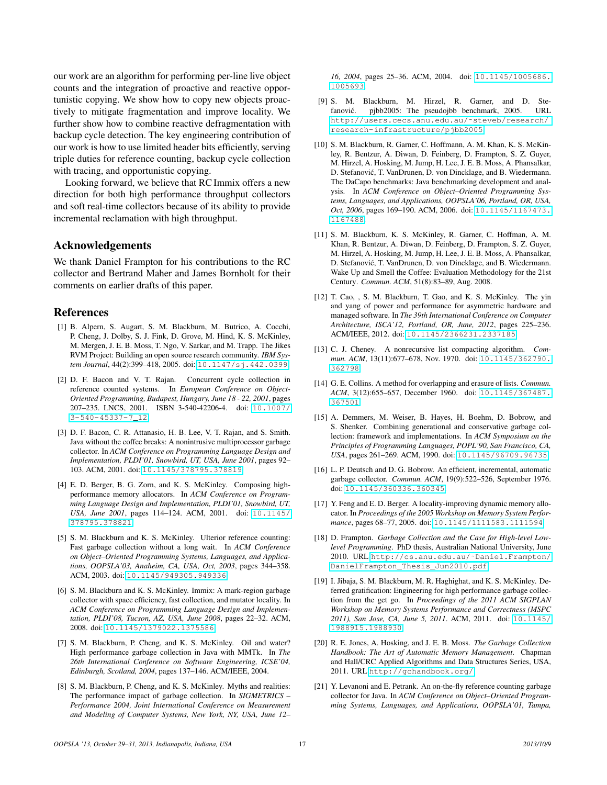our work are an algorithm for performing per-line live object counts and the integration of proactive and reactive opportunistic copying. We show how to copy new objects proactively to mitigate fragmentation and improve locality. We further show how to combine reactive defragmentation with backup cycle detection. The key engineering contribution of our work is how to use limited header bits efficiently, serving triple duties for reference counting, backup cycle collection with tracing, and opportunistic copying.

Looking forward, we believe that RC Immix offers a new direction for both high performance throughput collectors and soft real-time collectors because of its ability to provide incremental reclamation with high throughput.

## Acknowledgements

We thank Daniel Frampton for his contributions to the RC collector and Bertrand Maher and James Bornholt for their comments on earlier drafts of this paper.

## References

- <span id="page-16-17"></span>[1] B. Alpern, S. Augart, S. M. Blackburn, M. Butrico, A. Cocchi, P. Cheng, J. Dolby, S. J. Fink, D. Grove, M. Hind, K. S. McKinley, M. Mergen, J. E. B. Moss, T. Ngo, V. Sarkar, and M. Trapp. The Jikes RVM Project: Building an open source research community. *IBM System Journal*, 44(2):399–418, 2005. doi: [10.1147/sj.442.0399](http://dx.doi.org/10.1147/sj.442.0399).
- <span id="page-16-1"></span>[2] D. F. Bacon and V. T. Rajan. Concurrent cycle collection in reference counted systems. In *European Conference on Object-Oriented Programming, Budapest, Hungary, June 18 - 22, 2001*, pages 207–235. LNCS, 2001. ISBN 3-540-42206-4. doi: [10.1007/](http://dx.doi.org/10.1007/3-540-45337-7_12) [3-540-45337-7\\_12](http://dx.doi.org/10.1007/3-540-45337-7_12).
- <span id="page-16-12"></span>[3] D. F. Bacon, C. R. Attanasio, H. B. Lee, V. T. Rajan, and S. Smith. Java without the coffee breaks: A nonintrusive multiprocessor garbage collector. In *ACM Conference on Programming Language Design and Implementation, PLDI'01, Snowbird, UT, USA, June 2001*, pages 92– 103. ACM, 2001. doi: [10.1145/378795.378819](http://dx.doi.org/10.1145/378795.378819).
- <span id="page-16-7"></span>[4] E. D. Berger, B. G. Zorn, and K. S. McKinley. Composing highperformance memory allocators. In *ACM Conference on Programming Language Design and Implementation, PLDI'01, Snowbird, UT, USA, June 2001*, pages 114–124. ACM, 2001. doi: [10.1145/](http://dx.doi.org/10.1145/378795.378821) [378795.378821](http://dx.doi.org/10.1145/378795.378821).
- <span id="page-16-14"></span>[5] S. M. Blackburn and K. S. McKinley. Ulterior reference counting: Fast garbage collection without a long wait. In *ACM Conference on Object–Oriented Programming Systems, Languages, and Applications, OOPSLA'03, Anaheim, CA, USA, Oct, 2003*, pages 344–358. ACM, 2003. doi: [10.1145/949305.949336](http://dx.doi.org/10.1145/949305.949336).
- <span id="page-16-4"></span>[6] S. M. Blackburn and K. S. McKinley. Immix: A mark-region garbage collector with space efficiency, fast collection, and mutator locality. In *ACM Conference on Programming Language Design and Implementation, PLDI'08, Tucson, AZ, USA, June 2008*, pages 22–32. ACM, 2008. doi: [10.1145/1379022.1375586](http://dx.doi.org/10.1145/1379022.1375586).
- <span id="page-16-18"></span>[7] S. M. Blackburn, P. Cheng, and K. S. McKinley. Oil and water? High performance garbage collection in Java with MMTk. In *The 26th International Conference on Software Engineering, ICSE'04, Edinburgh, Scotland, 2004*, pages 137–146. ACM/IEEE, 2004.
- <span id="page-16-5"></span>[8] S. M. Blackburn, P. Cheng, and K. S. McKinley. Myths and realities: The performance impact of garbage collection. In *SIGMETRICS – Performance 2004, Joint International Conference on Measurement and Modeling of Computer Systems, New York, NY, USA, June 12–*

*16, 2004*, pages 25–36. ACM, 2004. doi: [10.1145/1005686.](http://dx.doi.org/10.1145/1005686.1005693) [1005693](http://dx.doi.org/10.1145/1005686.1005693).

- <span id="page-16-16"></span>[9] S. M. Blackburn, M. Hirzel, R. Garner, and D. Stefanović. pjbb2005: The pseudojbb benchmark, 2005. URL [http://users.cecs.anu.edu.au/˜steveb/research/](http://users.cecs.anu.edu.au/~steveb/research/research-infrastructure/pjbb2005) [research-infrastructure/pjbb2005](http://users.cecs.anu.edu.au/~steveb/research/research-infrastructure/pjbb2005).
- <span id="page-16-15"></span>[10] S. M. Blackburn, R. Garner, C. Hoffmann, A. M. Khan, K. S. McKinley, R. Bentzur, A. Diwan, D. Feinberg, D. Frampton, S. Z. Guyer, M. Hirzel, A. Hosking, M. Jump, H. Lee, J. E. B. Moss, A. Phansalkar, D. Stefanović, T. VanDrunen, D. von Dincklage, and B. Wiedermann. The DaCapo benchmarks: Java benchmarking development and analysis. In *ACM Conference on Object–Oriented Programming Systems, Languages, and Applications, OOPSLA'06, Portland, OR, USA, Oct, 2006*, pages 169–190. ACM, 2006. doi: [10.1145/1167473.](http://dx.doi.org/10.1145/1167473.1167488) [1167488](http://dx.doi.org/10.1145/1167473.1167488).
- <span id="page-16-20"></span>[11] S. M. Blackburn, K. S. McKinley, R. Garner, C. Hoffman, A. M. Khan, R. Bentzur, A. Diwan, D. Feinberg, D. Frampton, S. Z. Guyer, M. Hirzel, A. Hosking, M. Jump, H. Lee, J. E. B. Moss, A. Phansalkar, D. Stefanović, T. VanDrunen, D. von Dincklage, and B. Wiedermann. Wake Up and Smell the Coffee: Evaluation Methodology for the 21st Century. *Commun. ACM*, 51(8):83–89, Aug. 2008.
- <span id="page-16-19"></span>[12] T. Cao, , S. M. Blackburn, T. Gao, and K. S. McKinley. The yin and yang of power and performance for asymmetric hardware and managed software. In *The 39th International Conference on Computer Architecture, ISCA'12, Portland, OR, June, 2012*, pages 225–236. ACM/IEEE, 2012. doi: [10.1145/2366231.2337185](http://dx.doi.org/10.1145/2366231.2337185).
- <span id="page-16-6"></span>[13] C. J. Cheney. A nonrecursive list compacting algorithm. *Com-*mun. ACM, 13(11):677-678, Nov. 1970. doi: [10.1145/362790.](http://dx.doi.org/10.1145/362790.362798) [362798](http://dx.doi.org/10.1145/362790.362798).
- <span id="page-16-0"></span>[14] G. E. Collins. A method for overlapping and erasure of lists. *Commun. ACM*, 3(12):655–657, December 1960. doi: [10.1145/367487.](http://dx.doi.org/10.1145/367487.367501) [367501](http://dx.doi.org/10.1145/367487.367501).
- <span id="page-16-9"></span>[15] A. Demmers, M. Weiser, B. Hayes, H. Boehm, D. Bobrow, and S. Shenker. Combining generational and conservative garbage collection: framework and implementations. In *ACM Symposium on the Principles of Programming Languages, POPL'90, San Francisco, CA, USA*, pages 261–269. ACM, 1990. doi: [10.1145/96709.96735](http://dx.doi.org/10.1145/96709.96735).
- <span id="page-16-11"></span>[16] L. P. Deutsch and D. G. Bobrow. An efficient, incremental, automatic garbage collector. *Commun. ACM*, 19(9):522–526, September 1976. doi: [10.1145/360336.360345](http://dx.doi.org/10.1145/360336.360345).
- <span id="page-16-8"></span>[17] Y. Feng and E. D. Berger. A locality-improving dynamic memory allocator. In *Proceedings of the 2005 Workshop on Memory System Performance*, pages 68–77, 2005. doi: [10.1145/1111583.1111594](http://dx.doi.org/10.1145/1111583.1111594).
- <span id="page-16-2"></span>[18] D. Frampton. *Garbage Collection and the Case for High-level Lowlevel Programming*. PhD thesis, Australian National University, June 2010. URL [http://cs.anu.edu.au/˜Daniel.Frampton/](http://cs.anu.edu.au/~Daniel.Frampton/DanielFrampton_Thesis_Jun2010.pdf) [DanielFrampton\\_Thesis\\_Jun2010.pdf](http://cs.anu.edu.au/~Daniel.Frampton/DanielFrampton_Thesis_Jun2010.pdf).
- <span id="page-16-10"></span>[19] I. Jibaja, S. M. Blackburn, M. R. Haghighat, and K. S. McKinley. Deferred gratification: Engineering for high performance garbage collection from the get go. In *Proceedings of the 2011 ACM SIGPLAN Workshop on Memory Systems Performance and Correctness (MSPC 2011), San Jose, CA, June 5, 2011*. ACM, 2011. doi: [10.1145/](http://dx.doi.org/10.1145/1988915.1988930) [1988915.1988930](http://dx.doi.org/10.1145/1988915.1988930).
- <span id="page-16-13"></span>[20] R. E. Jones, A. Hosking, and J. E. B. Moss. *The Garbage Collection Handbook: The Art of Automatic Memory Management*. Chapman and Hall/CRC Applied Algorithms and Data Structures Series, USA, 2011. URL <http://gchandbook.org/>.
- <span id="page-16-3"></span>[21] Y. Levanoni and E. Petrank. An on-the-fly reference counting garbage collector for Java. In *ACM Conference on Object–Oriented Programming Systems, Languages, and Applications, OOPSLA'01, Tampa,*